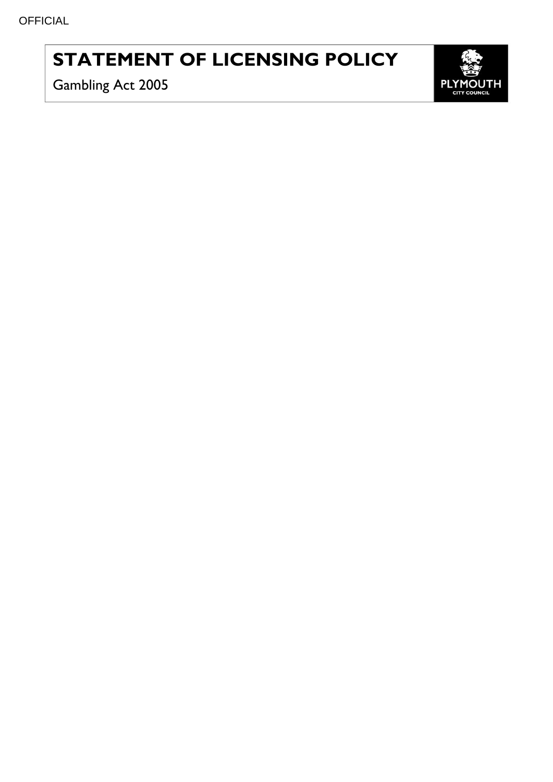# **STATEMENT OF LICENSING POLICY**

Gambling Act 2005

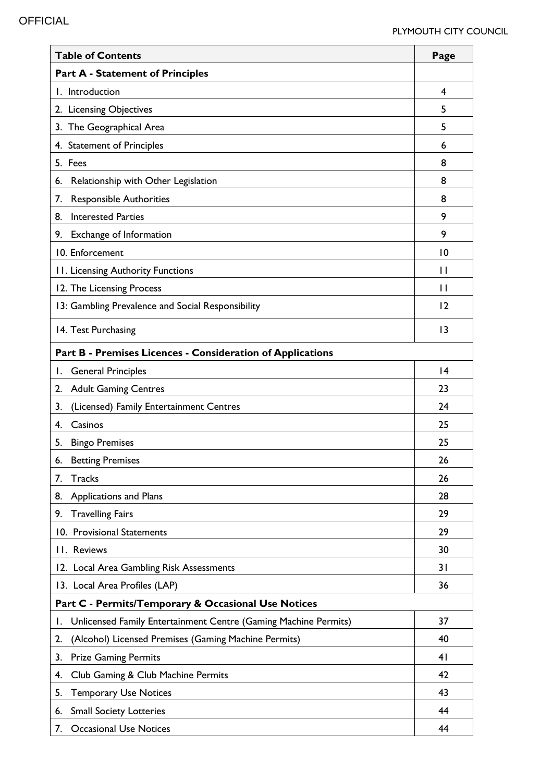| <b>Table of Contents</b>                                              | Page            |
|-----------------------------------------------------------------------|-----------------|
| <b>Part A - Statement of Principles</b>                               |                 |
| I. Introduction                                                       | 4               |
| 2. Licensing Objectives                                               | 5               |
| 3. The Geographical Area                                              | 5               |
| 4. Statement of Principles                                            | 6               |
| 5. Fees                                                               | 8               |
| Relationship with Other Legislation<br>6.                             | 8               |
| <b>Responsible Authorities</b><br>7.                                  | 8               |
| <b>Interested Parties</b><br>8.                                       | 9               |
| Exchange of Information<br>9.                                         | 9               |
| 10. Enforcement                                                       | $\overline{10}$ |
| 11. Licensing Authority Functions                                     | П               |
| 12. The Licensing Process                                             | $\mathbf{I}$    |
| 13: Gambling Prevalence and Social Responsibility                     | $\overline{2}$  |
| 14. Test Purchasing                                                   | $\overline{13}$ |
| Part B - Premises Licences - Consideration of Applications            |                 |
| <b>General Principles</b><br>Ι.                                       | $\overline{14}$ |
| <b>Adult Gaming Centres</b><br>2.                                     | 23              |
| (Licensed) Family Entertainment Centres<br>3.                         | 24              |
| Casinos<br>4.                                                         | 25              |
| <b>Bingo Premises</b><br>5.                                           | 25              |
| <b>Betting Premises</b><br>6.                                         | 26              |
| Tracks<br>7.                                                          | 26              |
| <b>Applications and Plans</b><br>8.                                   | 28              |
| <b>Travelling Fairs</b><br>9.                                         | 29              |
| 10. Provisional Statements                                            | 29              |
| 11. Reviews                                                           | 30              |
| 12. Local Area Gambling Risk Assessments                              | 31              |
| 13. Local Area Profiles (LAP)                                         | 36              |
| Part C - Permits/Temporary & Occasional Use Notices                   |                 |
| Unlicensed Family Entertainment Centre (Gaming Machine Permits)<br>I. | 37              |
| (Alcohol) Licensed Premises (Gaming Machine Permits)<br>2.            | 40              |
| <b>Prize Gaming Permits</b><br>3.                                     | 4 <sub>1</sub>  |
| Club Gaming & Club Machine Permits<br>4.                              | 42              |
| <b>Temporary Use Notices</b><br>5.                                    | 43              |
| <b>Small Society Lotteries</b><br>6.                                  | 44              |
| <b>Occasional Use Notices</b><br>7.                                   | 44              |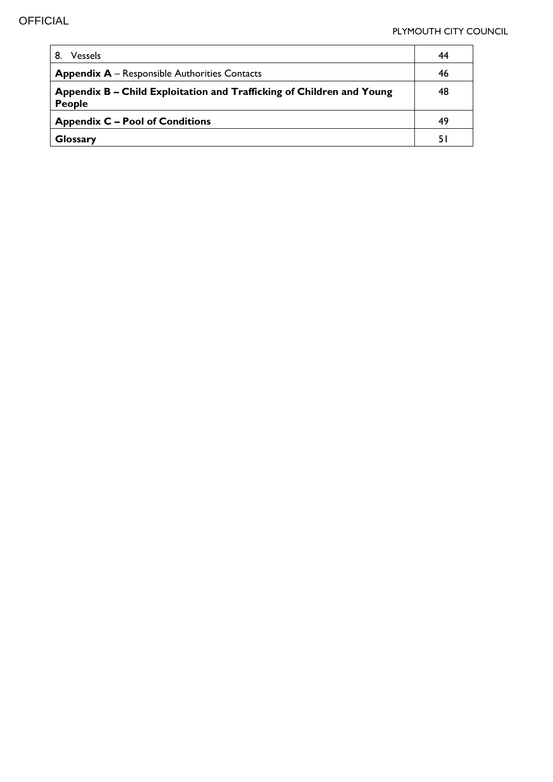| 8.<br><b>Vessels</b>                                                                   | 44 |
|----------------------------------------------------------------------------------------|----|
| <b>Appendix A</b> – Responsible Authorities Contacts                                   | 46 |
| Appendix B – Child Exploitation and Trafficking of Children and Young<br><b>People</b> | 48 |
| <b>Appendix C – Pool of Conditions</b>                                                 | 49 |
| <b>Glossary</b>                                                                        |    |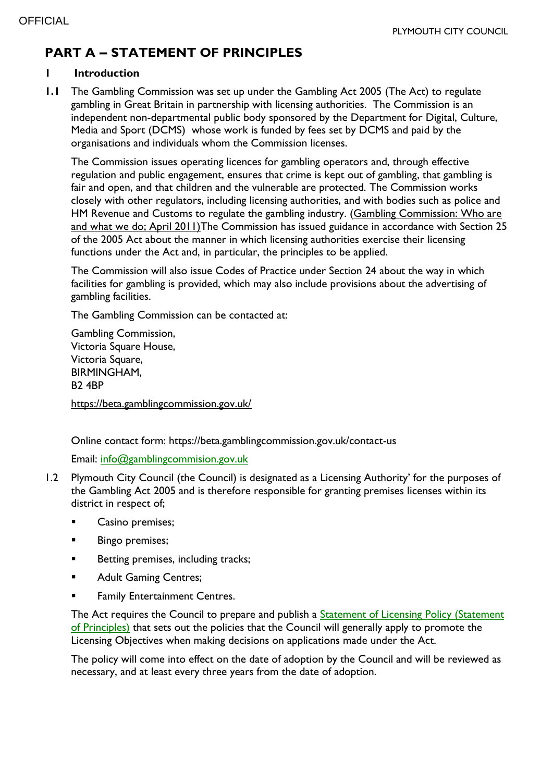# **PART A – STATEMENT OF PRINCIPLES**

#### **1 Introduction**

**1.1** The Gambling Commission was set up under the Gambling Act 2005 (The Act) to regulate gambling in Great Britain in partnership with licensing authorities. The Commission is an independent non-departmental public body sponsored by the Department for Digital, Culture, Media and Sport (DCMS) whose work is funded by fees set by DCMS and paid by the organisations and individuals whom the Commission licenses.

The Commission issues operating licences for gambling operators and, through effective regulation and public engagement, ensures that crime is kept out of gambling, that gambling is fair and open, and that children and the vulnerable are protected. The Commission works closely with other regulators, including licensing authorities, and with bodies such as police and HM Revenue and Customs to regulate the gambling industry. (Gambling Commission: Who are [and what we do; April 2011\)T](http://www.gamblingcommission.gov.uk/about/About-us.aspx)he Commission has issued guidance in accordance with Section 25 of the 2005 Act about the manner in which licensing authorities exercise their licensing functions under the Act and, in particular, the principles to be applied.

The Commission will also issue Codes of Practice under Section 24 about the way in which facilities for gambling is provided, which may also include provisions about the advertising of gambling facilities.

The Gambling Commission can be contacted at:

Gambling Commission, Victoria Square House, Victoria Square, BIRMINGHAM, B2 4BP <https://beta.gamblingcommission.gov.uk/>

Online contact form: https://beta.gamblingcommission.gov.uk/contact-us

Email: [info@gamblingcommision.gov.uk](mailto:info@gamblingcommision.gov.uk)

- 1.2 Plymouth City Council (the Council) is designated as a Licensing Authority' for the purposes of the Gambling Act 2005 and is therefore responsible for granting premises licenses within its district in respect of;
	- Casino premises;
	- **Bingo premises;**
	- **Betting premises, including tracks;**
	- Adult Gaming Centres;
	- Family Entertainment Centres.

The Act requires the Council to prepare and publish a Statement of Licensing Policy (Statement [of Principles\)](https://www.plymouth.gov.uk/licensingandpermits/gamblinglicencesandpermits/gamblingpolicy) that sets out the policies that the Council will generally apply to promote the Licensing Objectives when making decisions on applications made under the Act.

The policy will come into effect on the date of adoption by the Council and will be reviewed as necessary, and at least every three years from the date of adoption.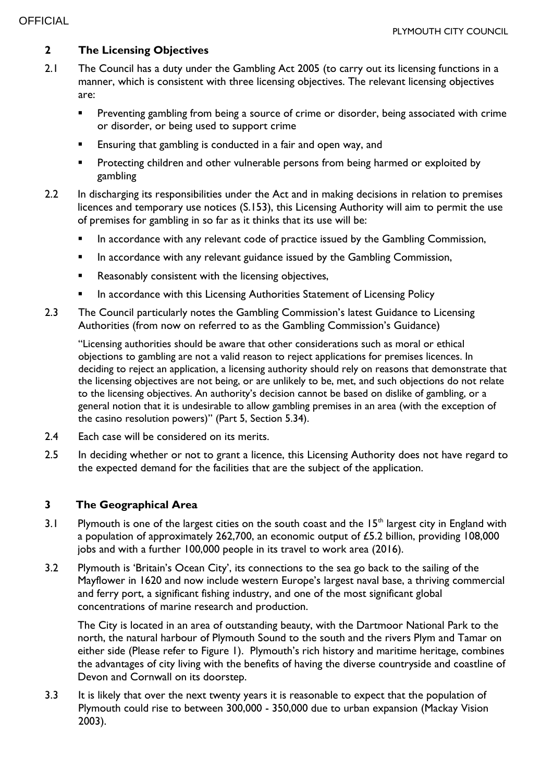## **2 The Licensing Objectives**

- 2.1 The Council has a duty under the Gambling Act 2005 (to carry out its licensing functions in a manner, which is consistent with three licensing objectives. The relevant licensing objectives are:
	- **Preventing gambling from being a source of crime or disorder, being associated with crime** or disorder, or being used to support crime
	- Ensuring that gambling is conducted in a fair and open way, and
	- **Protecting children and other vulnerable persons from being harmed or exploited by** gambling
- 2.2 In discharging its responsibilities under the Act and in making decisions in relation to premises licences and temporary use notices (S.153), this Licensing Authority will aim to permit the use of premises for gambling in so far as it thinks that its use will be:
	- In accordance with any relevant code of practice issued by the Gambling Commission,
	- In accordance with any relevant guidance issued by the Gambling Commission,
	- Reasonably consistent with the licensing objectives,
	- In accordance with this Licensing Authorities Statement of Licensing Policy
- 2.3 The Council particularly notes the Gambling Commission's latest Guidance to Licensing Authorities (from now on referred to as the Gambling Commission's Guidance)

"Licensing authorities should be aware that other considerations such as moral or ethical objections to gambling are not a valid reason to reject applications for premises licences. In deciding to reject an application, a licensing authority should rely on reasons that demonstrate that the licensing objectives are not being, or are unlikely to be, met, and such objections do not relate to the licensing objectives. An authority's decision cannot be based on dislike of gambling, or a general notion that it is undesirable to allow gambling premises in an area (with the exception of the casino resolution powers)" (Part 5, Section 5.34).

- 2.4 Each case will be considered on its merits.
- 2.5 In deciding whether or not to grant a licence, this Licensing Authority does not have regard to the expected demand for the facilities that are the subject of the application.

#### **3 The Geographical Area**

- 3.1 Plymouth is one of the largest cities on the south coast and the  $15<sup>th</sup>$  largest city in England with a population of approximately 262,700, an economic output of £5.2 billion, providing 108,000 jobs and with a further 100,000 people in its travel to work area (2016).
- 3.2 Plymouth is 'Britain's Ocean City', its connections to the sea go back to the sailing of the Mayflower in 1620 and now include western Europe's largest naval base, a thriving commercial and ferry port, a significant fishing industry, and one of the most significant global concentrations of marine research and production.

The City is located in an area of outstanding beauty, with the Dartmoor National Park to the north, the natural harbour of Plymouth Sound to the south and the rivers Plym and Tamar on either side (Please refer to Figure 1). Plymouth's rich history and maritime heritage, combines the advantages of city living with the benefits of having the diverse countryside and coastline of Devon and Cornwall on its doorstep.

3.3 It is likely that over the next twenty years it is reasonable to expect that the population of Plymouth could rise to between 300,000 - 350,000 due to urban expansion (Mackay Vision 2003).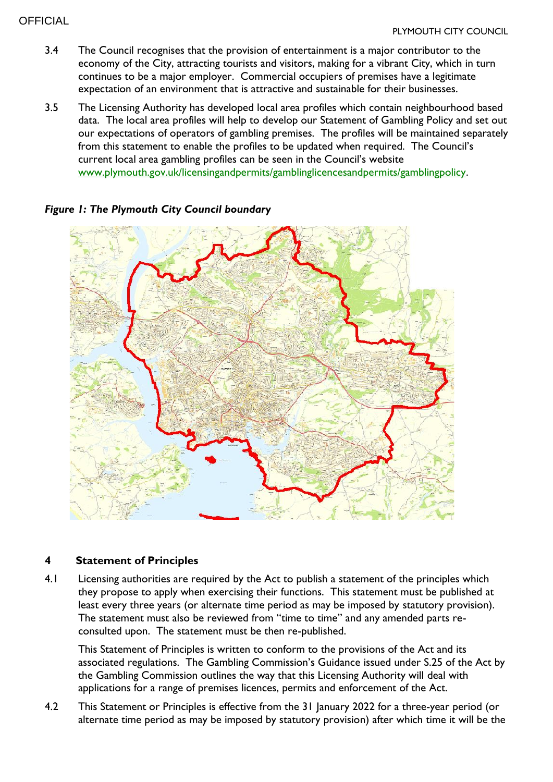#### **OFFICIAL**

- 3.4 The Council recognises that the provision of entertainment is a major contributor to the economy of the City, attracting tourists and visitors, making for a vibrant City, which in turn continues to be a major employer. Commercial occupiers of premises have a legitimate expectation of an environment that is attractive and sustainable for their businesses.
- 3.5 The Licensing Authority has developed local area profiles which contain neighbourhood based data. The local area profiles will help to develop our Statement of Gambling Policy and set out our expectations of operators of gambling premises. The profiles will be maintained separately from this statement to enable the profiles to be updated when required. The Council's current local area gambling profiles can be seen in the Council's website [www.plymouth.gov.uk/licensingandpermits/gamblinglicencesandpermits/gamblingpolicy.](http://www.plymouth.gov.uk/licensingandpermits/gamblinglicencesandpermits/gamblingpolicy)



## *Figure 1: The Plymouth City Council boundary*

#### **4 Statement of Principles**

4.1 Licensing authorities are required by the Act to publish a statement of the principles which they propose to apply when exercising their functions. This statement must be published at least every three years (or alternate time period as may be imposed by statutory provision). The statement must also be reviewed from "time to time" and any amended parts reconsulted upon. The statement must be then re-published.

This Statement of Principles is written to conform to the provisions of the Act and its associated regulations. The Gambling Commission's Guidance issued under S.25 of the Act by the Gambling Commission outlines the way that this Licensing Authority will deal with applications for a range of premises licences, permits and enforcement of the Act.

4.2 This Statement or Principles is effective from the 31 January 2022 for a three-year period (or alternate time period as may be imposed by statutory provision) after which time it will be the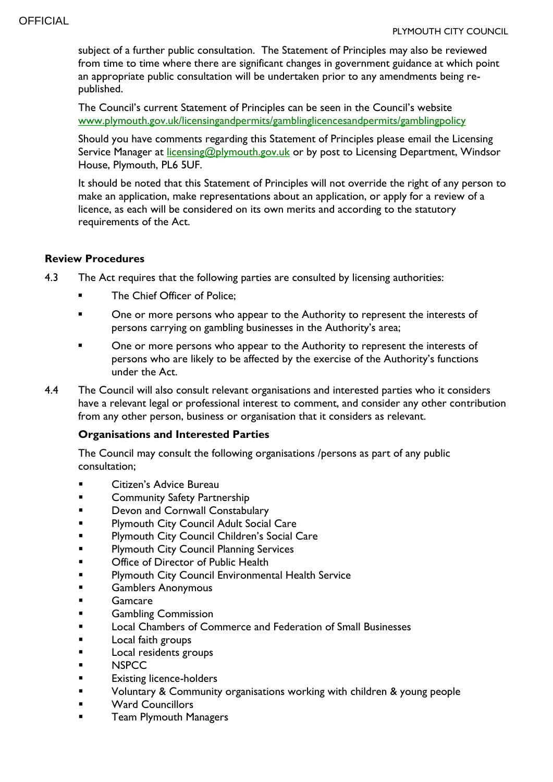subject of a further public consultation. The Statement of Principles may also be reviewed from time to time where there are significant changes in government guidance at which point an appropriate public consultation will be undertaken prior to any amendments being republished.

The Council's current Statement of Principles can be seen in the Council's website [www.plymouth.gov.uk/licensingandpermits/gamblinglicencesandpermits/gamblingpolicy](http://www.plymouth.gov.uk/licensingandpermits/gamblinglicencesandpermits/gamblingpolicy)

Should you have comments regarding this Statement of Principles please email the Licensing Service Manager at *licensing@plymouth.gov.uk* or by post to Licensing Department, Windsor House, Plymouth, PL6 5UF.

It should be noted that this Statement of Principles will not override the right of any person to make an application, make representations about an application, or apply for a review of a licence, as each will be considered on its own merits and according to the statutory requirements of the Act.

#### **Review Procedures**

- 4.3 The Act requires that the following parties are consulted by licensing authorities:
	- The Chief Officer of Police;
	- **•** One or more persons who appear to the Authority to represent the interests of persons carrying on gambling businesses in the Authority's area;
	- One or more persons who appear to the Authority to represent the interests of persons who are likely to be affected by the exercise of the Authority's functions under the Act.
- 4.4 The Council will also consult relevant organisations and interested parties who it considers have a relevant legal or professional interest to comment, and consider any other contribution from any other person, business or organisation that it considers as relevant.

## **Organisations and Interested Parties**

The Council may consult the following organisations /persons as part of any public consultation;

- Citizen's Advice Bureau
- **EXECOMMUNITY Safety Partnership**
- **Devon and Cornwall Constabulary**
- **Plymouth City Council Adult Social Care**
- Plymouth City Council Children's Social Care
- **Plymouth City Council Planning Services**
- **EXECUTE:** Office of Director of Public Health
- Plymouth City Council Environmental Health Service
- Gamblers Anonymous
- **Gamcare**
- **Gambling Commission**
- **Local Chambers of Commerce and Federation of Small Businesses**
- **Local faith groups**
- **Local residents groups**
- **NSPCC**
- **Existing licence-holders**
- Voluntary & Community organisations working with children & young people
- **EXECUTE:** Ward Councillors
- **Team Plymouth Managers**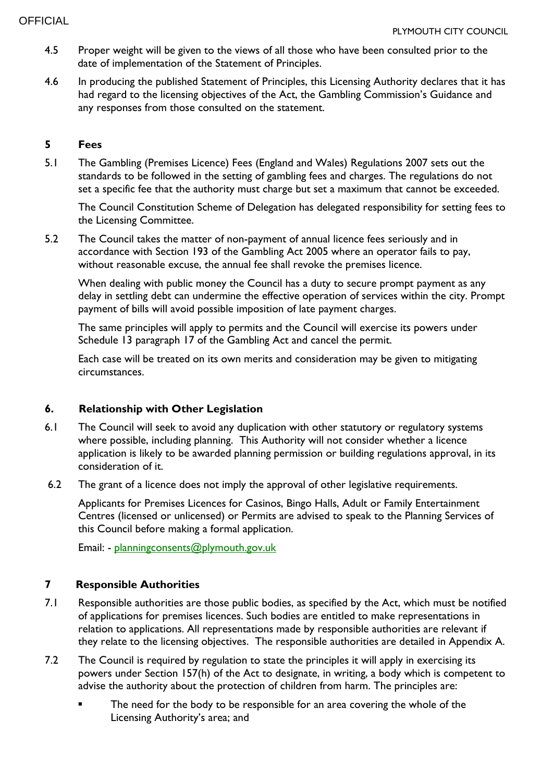- 4.5 Proper weight will be given to the views of all those who have been consulted prior to the date of implementation of the Statement of Principles.
- 4.6 In producing the published Statement of Principles, this Licensing Authority declares that it has had regard to the licensing objectives of the Act, the Gambling Commission's Guidance and any responses from those consulted on the statement.

## **5 Fees**

5.1 The Gambling (Premises Licence) Fees (England and Wales) Regulations 2007 sets out the standards to be followed in the setting of gambling fees and charges. The regulations do not set a specific fee that the authority must charge but set a maximum that cannot be exceeded.

The Council Constitution Scheme of Delegation has delegated responsibility for setting fees to the Licensing Committee.

5.2 The Council takes the matter of non-payment of annual licence fees seriously and in accordance with Section 193 of the Gambling Act 2005 where an operator fails to pay, without reasonable excuse, the annual fee shall revoke the premises licence.

When dealing with public money the Council has a duty to secure prompt payment as any delay in settling debt can undermine the effective operation of services within the city. Prompt payment of bills will avoid possible imposition of late payment charges.

The same principles will apply to permits and the Council will exercise its powers under Schedule 13 paragraph 17 of the Gambling Act and cancel the permit.

Each case will be treated on its own merits and consideration may be given to mitigating circumstances.

## **6. Relationship with Other Legislation**

- 6.1 The Council will seek to avoid any duplication with other statutory or regulatory systems where possible, including planning. This Authority will not consider whether a licence application is likely to be awarded planning permission or building regulations approval, in its consideration of it.
- 6.2 The grant of a licence does not imply the approval of other legislative requirements.

Applicants for Premises Licences for Casinos, Bingo Halls, Adult or Family Entertainment Centres (licensed or unlicensed) or Permits are advised to speak to the Planning Services of this Council before making a formal application.

Email: - [planningconsents@plymouth.gov.uk](mailto:planningconsents@plymouth.gov.uk)

## **7 Responsible Authorities**

- 7.1 Responsible authorities are those public bodies, as specified by the Act, which must be notified of applications for premises licences. Such bodies are entitled to make representations in relation to applications. All representations made by responsible authorities are relevant if they relate to the licensing objectives. The responsible authorities are detailed in Appendix A.
- 7.2 The Council is required by regulation to state the principles it will apply in exercising its powers under Section 157(h) of the Act to designate, in writing, a body which is competent to advise the authority about the protection of children from harm. The principles are:
	- The need for the body to be responsible for an area covering the whole of the Licensing Authority's area; and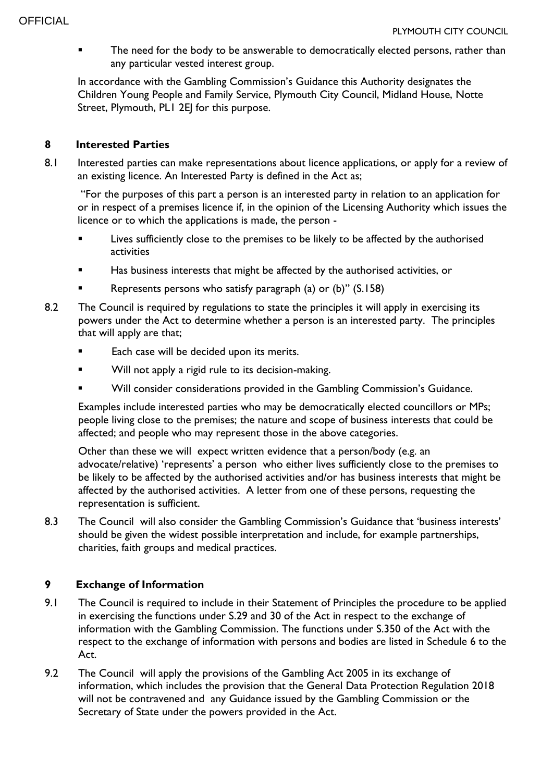The need for the body to be answerable to democratically elected persons, rather than any particular vested interest group.

In accordance with the Gambling Commission's Guidance this Authority designates the Children Young People and Family Service, Plymouth City Council, Midland House, Notte Street, Plymouth, PLI 2EJ for this purpose.

## **8 Interested Parties**

8.1 Interested parties can make representations about licence applications, or apply for a review of an existing licence. An Interested Party is defined in the Act as;

"For the purposes of this part a person is an interested party in relation to an application for or in respect of a premises licence if, in the opinion of the Licensing Authority which issues the licence or to which the applications is made, the person -

- Lives sufficiently close to the premises to be likely to be affected by the authorised activities
- Has business interests that might be affected by the authorised activities, or
- Represents persons who satisfy paragraph (a) or (b)" (S.158)
- 8.2 The Council is required by regulations to state the principles it will apply in exercising its powers under the Act to determine whether a person is an interested party. The principles that will apply are that;
	- Each case will be decided upon its merits.
	- Will not apply a rigid rule to its decision-making.
	- Will consider considerations provided in the Gambling Commission's Guidance.

Examples include interested parties who may be democratically elected councillors or MPs; people living close to the premises; the nature and scope of business interests that could be affected; and people who may represent those in the above categories.

Other than these we will expect written evidence that a person/body (e.g. an advocate/relative) 'represents' a person who either lives sufficiently close to the premises to be likely to be affected by the authorised activities and/or has business interests that might be affected by the authorised activities. A letter from one of these persons, requesting the representation is sufficient.

8.3 The Council will also consider the Gambling Commission's Guidance that 'business interests' should be given the widest possible interpretation and include, for example partnerships, charities, faith groups and medical practices.

## **9 Exchange of Information**

- 9.1 The Council is required to include in their Statement of Principles the procedure to be applied in exercising the functions under S.29 and 30 of the Act in respect to the exchange of information with the Gambling Commission. The functions under S.350 of the Act with the respect to the exchange of information with persons and bodies are listed in Schedule 6 to the Act.
- 9.2 The Council will apply the provisions of the Gambling Act 2005 in its exchange of information, which includes the provision that the General Data Protection Regulation 2018 will not be contravened and any Guidance issued by the Gambling Commission or the Secretary of State under the powers provided in the Act.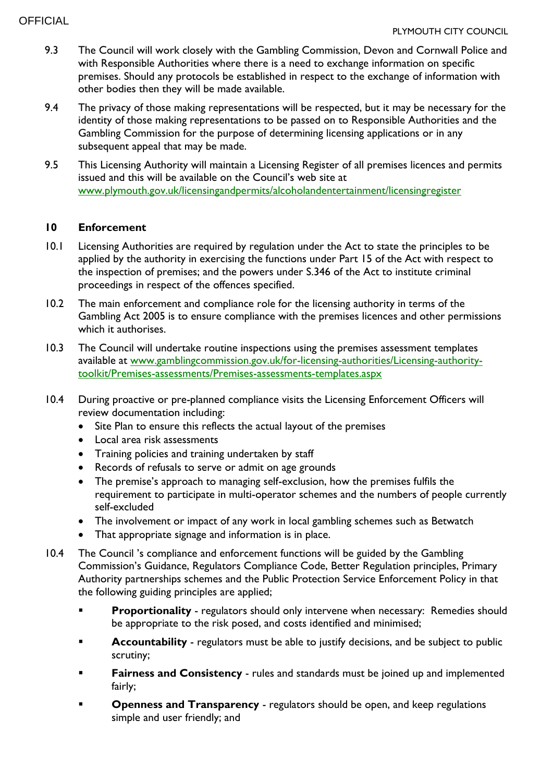- 9.3 The Council will work closely with the Gambling Commission, Devon and Cornwall Police and with Responsible Authorities where there is a need to exchange information on specific premises. Should any protocols be established in respect to the exchange of information with other bodies then they will be made available.
- 9.4 The privacy of those making representations will be respected, but it may be necessary for the identity of those making representations to be passed on to Responsible Authorities and the Gambling Commission for the purpose of determining licensing applications or in any subsequent appeal that may be made.
- 9.5 This Licensing Authority will maintain a Licensing Register of all premises licences and permits issued and this will be available on the Council's web site at [www.plymouth.gov.uk/licensingandpermits/alcoholandentertainment/licensingregister](http://www.plymouth.gov.uk/licensingandpermits/alcoholandentertainment/licensingregister)

#### **10 Enforcement**

- 10.1 Licensing Authorities are required by regulation under the Act to state the principles to be applied by the authority in exercising the functions under Part 15 of the Act with respect to the inspection of premises; and the powers under S.346 of the Act to institute criminal proceedings in respect of the offences specified.
- 10.2 The main enforcement and compliance role for the licensing authority in terms of the Gambling Act 2005 is to ensure compliance with the premises licences and other permissions which it authorises.
- 10.3 The Council will undertake routine inspections using the premises assessment templates available at [www.gamblingcommission.gov.uk/for-licensing-authorities/Licensing-authority](http://www.gamblingcommission.gov.uk/for-licensing-authorities/Licensing-authority-toolkit/Premises-assessments/Premises-assessments-templates.aspx)[toolkit/Premises-assessments/Premises-assessments-templates.aspx](http://www.gamblingcommission.gov.uk/for-licensing-authorities/Licensing-authority-toolkit/Premises-assessments/Premises-assessments-templates.aspx)
- 10.4 During proactive or pre-planned compliance visits the Licensing Enforcement Officers will review documentation including:
	- Site Plan to ensure this reflects the actual layout of the premises
	- Local area risk assessments
	- Training policies and training undertaken by staff
	- Records of refusals to serve or admit on age grounds
	- The premise's approach to managing self-exclusion, how the premises fulfils the requirement to participate in multi-operator schemes and the numbers of people currently self-excluded
	- The involvement or impact of any work in local gambling schemes such as Betwatch
	- That appropriate signage and information is in place.
- 10.4 The Council 's compliance and enforcement functions will be guided by the Gambling Commission's Guidance, Regulators Compliance Code, Better Regulation principles, Primary Authority partnerships schemes and the Public Protection Service Enforcement Policy in that the following guiding principles are applied;
	- **Proportionality** regulators should only intervene when necessary: Remedies should be appropriate to the risk posed, and costs identified and minimised;
	- **Accountability** regulators must be able to justify decisions, and be subject to public scrutiny;
	- **Fairness and Consistency** rules and standards must be joined up and implemented fairly;
	- **Openness and Transparency** regulators should be open, and keep regulations simple and user friendly; and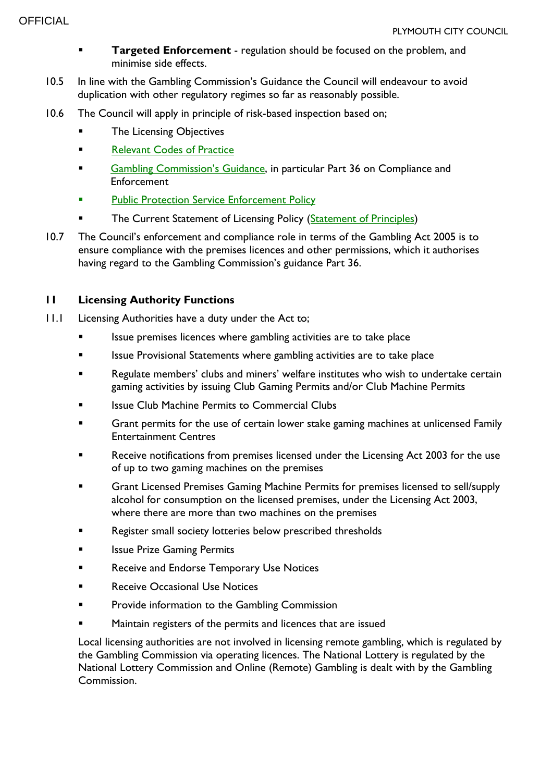- **Targeted Enforcement** regulation should be focused on the problem, and minimise side effects.
- 10.5 In line with the Gambling Commission's Guidance the Council will endeavour to avoid duplication with other regulatory regimes so far as reasonably possible.
- 10.6 The Council will apply in principle of risk-based inspection based on;
	- The Licensing Objectives
	- [Relevant Codes of Practice](https://beta.gamblingcommission.gov.uk/authorities/codes-of-practice)
	- [Gambling Commission'](https://beta.gamblingcommission.gov.uk/guidance/guidance-to-licensing-authorities)s Guidance, in particular Part 36 on Compliance and Enforcement
	- [Public Protection Service Enforcement Policy](https://www.plymouth.gov.uk/tradingstandards/consumeradvice/enforcementandregulations)
	- The Current Statement of Licensing Policy [\(Statement of Principles\)](https://www.plymouth.gov.uk/licensingandpermits/gamblinglicencesandpermits/gamblingpolicy)
- 10.7 The Council's enforcement and compliance role in terms of the Gambling Act 2005 is to ensure compliance with the premises licences and other permissions, which it authorises having regard to the Gambling Commission's guidance Part 36.

## **11 Licensing Authority Functions**

- 11.1 Licensing Authorities have a duty under the Act to;
	- **Infer 15** Issue premises licences where gambling activities are to take place
	- **Infermal Statements where gambling activities are to take place**
	- **Regulate members' clubs and miners' welfare institutes who wish to undertake certain** gaming activities by issuing Club Gaming Permits and/or Club Machine Permits
	- Issue Club Machine Permits to Commercial Clubs
	- Grant permits for the use of certain lower stake gaming machines at unlicensed Family Entertainment Centres
	- Receive notifications from premises licensed under the Licensing Act 2003 for the use of up to two gaming machines on the premises
	- Grant Licensed Premises Gaming Machine Permits for premises licensed to sell/supply alcohol for consumption on the licensed premises, under the Licensing Act 2003, where there are more than two machines on the premises
	- **Register small society lotteries below prescribed thresholds**
	- **In Itssue Prize Gaming Permits**
	- **Receive and Endorse Temporary Use Notices**
	- Receive Occasional Use Notices
	- Provide information to the Gambling Commission
	- Maintain registers of the permits and licences that are issued

Local licensing authorities are not involved in licensing remote gambling, which is regulated by the Gambling Commission via operating licences. The National Lottery is regulated by the National Lottery Commission and Online (Remote) Gambling is dealt with by the Gambling Commission.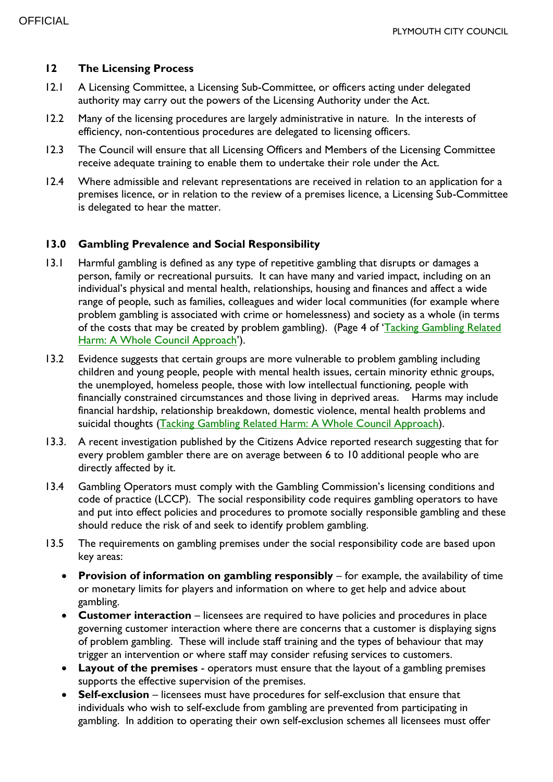#### **12 The Licensing Process**

- 12.1 A Licensing Committee, a Licensing Sub-Committee, or officers acting under delegated authority may carry out the powers of the Licensing Authority under the Act.
- 12.2 Many of the licensing procedures are largely administrative in nature. In the interests of efficiency, non-contentious procedures are delegated to licensing officers.
- 12.3 The Council will ensure that all Licensing Officers and Members of the Licensing Committee receive adequate training to enable them to undertake their role under the Act.
- 12.4 Where admissible and relevant representations are received in relation to an application for a premises licence, or in relation to the review of a premises licence, a Licensing Sub-Committee is delegated to hear the matter.

#### **13.0 Gambling Prevalence and Social Responsibility**

- 13.1 Harmful gambling is defined as any type of repetitive gambling that disrupts or damages a person, family or recreational pursuits. It can have many and varied impact, including on an individual's physical and mental health, relationships, housing and finances and affect a wide range of people, such as families, colleagues and wider local communities (for example where problem gambling is associated with crime or homelessness) and society as a whole (in terms of the costs that may be created by problem gambling). (Page 4 of 'Tacking Gambling Related [Harm: A Whole Council Approach](https://local.gov.uk/sites/default/files/documents/10.28%20GUIDANCE%20ON%20PROBLEM%20GAMBLING_07.pdf)').
- 13.2 Evidence suggests that certain groups are more vulnerable to problem gambling including children and young people, people with mental health issues, certain minority ethnic groups, the unemployed, homeless people, those with low intellectual functioning, people with financially constrained circumstances and those living in deprived areas. Harms may include financial hardship, relationship breakdown, domestic violence, mental health problems and suicidal thoughts [\(Tacking Gambling Related Harm: A Whole Council Approach\)](https://local.gov.uk/sites/default/files/documents/10.28%20GUIDANCE%20ON%20PROBLEM%20GAMBLING_07.pdf).
- 13.3. A recent investigation published by the Citizens Advice reported research suggesting that for every problem gambler there are on average between 6 to 10 additional people who are directly affected by it.
- 13.4 Gambling Operators must comply with the Gambling Commission's licensing conditions and code of practice (LCCP). The social responsibility code requires gambling operators to have and put into effect policies and procedures to promote socially responsible gambling and these should reduce the risk of and seek to identify problem gambling.
- 13.5 The requirements on gambling premises under the social responsibility code are based upon key areas:
	- **Provision of information on gambling responsibly** for example, the availability of time or monetary limits for players and information on where to get help and advice about gambling.
	- **Customer interaction** licensees are required to have policies and procedures in place governing customer interaction where there are concerns that a customer is displaying signs of problem gambling. These will include staff training and the types of behaviour that may trigger an intervention or where staff may consider refusing services to customers.
	- **Layout of the premises** operators must ensure that the layout of a gambling premises supports the effective supervision of the premises.
	- **Self-exclusion** licensees must have procedures for self-exclusion that ensure that individuals who wish to self-exclude from gambling are prevented from participating in gambling. In addition to operating their own self-exclusion schemes all licensees must offer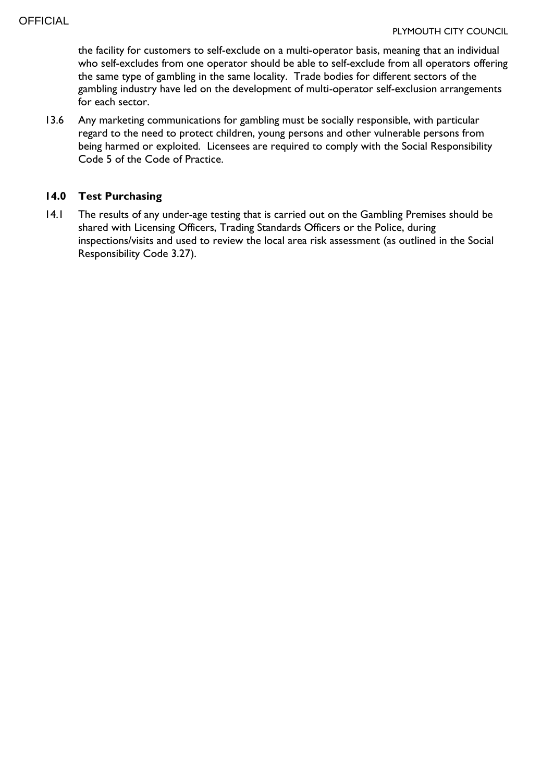the facility for customers to self-exclude on a multi-operator basis, meaning that an individual who self-excludes from one operator should be able to self-exclude from all operators offering the same type of gambling in the same locality. Trade bodies for different sectors of the gambling industry have led on the development of multi-operator self-exclusion arrangements for each sector.

13.6 Any marketing communications for gambling must be socially responsible, with particular regard to the need to protect children, young persons and other vulnerable persons from being harmed or exploited. Licensees are required to comply with the Social Responsibility Code 5 of the Code of Practice.

#### **14.0 Test Purchasing**

14.1 The results of any under-age testing that is carried out on the Gambling Premises should be shared with Licensing Officers, Trading Standards Officers or the Police, during inspections/visits and used to review the local area risk assessment (as outlined in the Social Responsibility Code 3.27).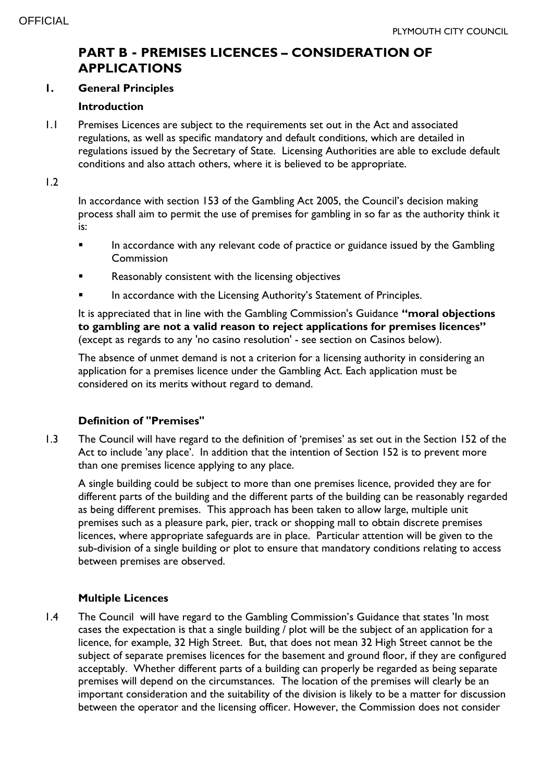# **PART B - PREMISES LICENCES – CONSIDERATION OF APPLICATIONS**

#### **1. General Principles**

#### **Introduction**

1.1 Premises Licences are subject to the requirements set out in the Act and associated regulations, as well as specific mandatory and default conditions, which are detailed in regulations issued by the Secretary of State. Licensing Authorities are able to exclude default conditions and also attach others, where it is believed to be appropriate.

1.2

In accordance with section 153 of the Gambling Act 2005, the Council's decision making process shall aim to permit the use of premises for gambling in so far as the authority think it is:

- **IFERF** In accordance with any relevant code of practice or guidance issued by the Gambling Commission
- Reasonably consistent with the licensing objectives
- In accordance with the Licensing Authority's Statement of Principles.

It is appreciated that in line with the Gambling Commission's Guidance **"moral objections to gambling are not a valid reason to reject applications for premises licences"** (except as regards to any 'no casino resolution' - see section on Casinos below).

The absence of unmet demand is not a criterion for a licensing authority in considering an application for a premises licence under the Gambling Act. Each application must be considered on its merits without regard to demand.

## **Definition of "Premises"**

1.3 The Council will have regard to the definition of 'premises' as set out in the Section 152 of the Act to include 'any place'. In addition that the intention of Section 152 is to prevent more than one premises licence applying to any place.

A single building could be subject to more than one premises licence, provided they are for different parts of the building and the different parts of the building can be reasonably regarded as being different premises. This approach has been taken to allow large, multiple unit premises such as a pleasure park, pier, track or shopping mall to obtain discrete premises licences, where appropriate safeguards are in place. Particular attention will be given to the sub-division of a single building or plot to ensure that mandatory conditions relating to access between premises are observed.

## **Multiple Licences**

1.4 The Council will have regard to the Gambling Commission's Guidance that states 'In most cases the expectation is that a single building / plot will be the subject of an application for a licence, for example, 32 High Street. But, that does not mean 32 High Street cannot be the subject of separate premises licences for the basement and ground floor, if they are configured acceptably. Whether different parts of a building can properly be regarded as being separate premises will depend on the circumstances. The location of the premises will clearly be an important consideration and the suitability of the division is likely to be a matter for discussion between the operator and the licensing officer. However, the Commission does not consider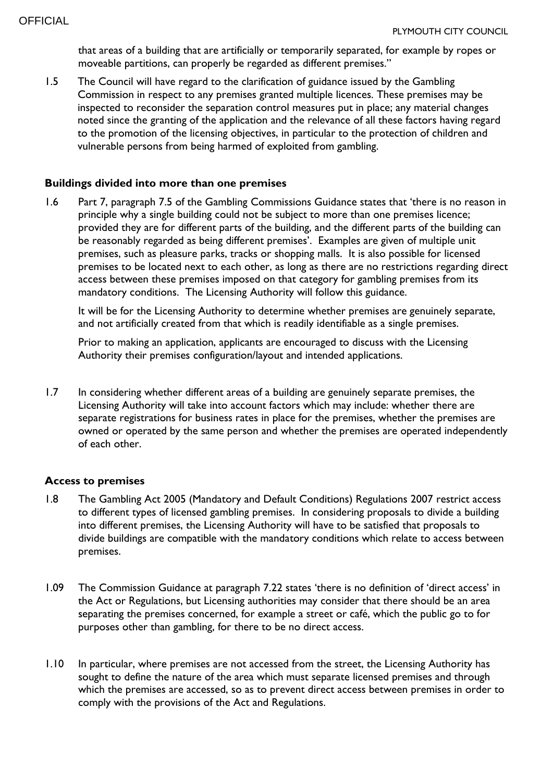that areas of a building that are artificially or temporarily separated, for example by ropes or moveable partitions, can properly be regarded as different premises."

1.5 The Council will have regard to the clarification of guidance issued by the Gambling Commission in respect to any premises granted multiple licences. These premises may be inspected to reconsider the separation control measures put in place; any material changes noted since the granting of the application and the relevance of all these factors having regard to the promotion of the licensing objectives, in particular to the protection of children and vulnerable persons from being harmed of exploited from gambling.

#### **Buildings divided into more than one premises**

1.6 Part 7, paragraph 7.5 of the Gambling Commissions Guidance states that 'there is no reason in principle why a single building could not be subject to more than one premises licence; provided they are for different parts of the building, and the different parts of the building can be reasonably regarded as being different premises'. Examples are given of multiple unit premises, such as pleasure parks, tracks or shopping malls. It is also possible for licensed premises to be located next to each other, as long as there are no restrictions regarding direct access between these premises imposed on that category for gambling premises from its mandatory conditions. The Licensing Authority will follow this guidance.

It will be for the Licensing Authority to determine whether premises are genuinely separate, and not artificially created from that which is readily identifiable as a single premises.

Prior to making an application, applicants are encouraged to discuss with the Licensing Authority their premises configuration/layout and intended applications.

1.7 In considering whether different areas of a building are genuinely separate premises, the Licensing Authority will take into account factors which may include: whether there are separate registrations for business rates in place for the premises, whether the premises are owned or operated by the same person and whether the premises are operated independently of each other.

#### **Access to premises**

- 1.8 The Gambling Act 2005 (Mandatory and Default Conditions) Regulations 2007 restrict access to different types of licensed gambling premises. In considering proposals to divide a building into different premises, the Licensing Authority will have to be satisfied that proposals to divide buildings are compatible with the mandatory conditions which relate to access between premises.
- 1.09 The Commission Guidance at paragraph 7.22 states 'there is no definition of 'direct access' in the Act or Regulations, but Licensing authorities may consider that there should be an area separating the premises concerned, for example a street or café, which the public go to for purposes other than gambling, for there to be no direct access.
- 1.10 In particular, where premises are not accessed from the street, the Licensing Authority has sought to define the nature of the area which must separate licensed premises and through which the premises are accessed, so as to prevent direct access between premises in order to comply with the provisions of the Act and Regulations.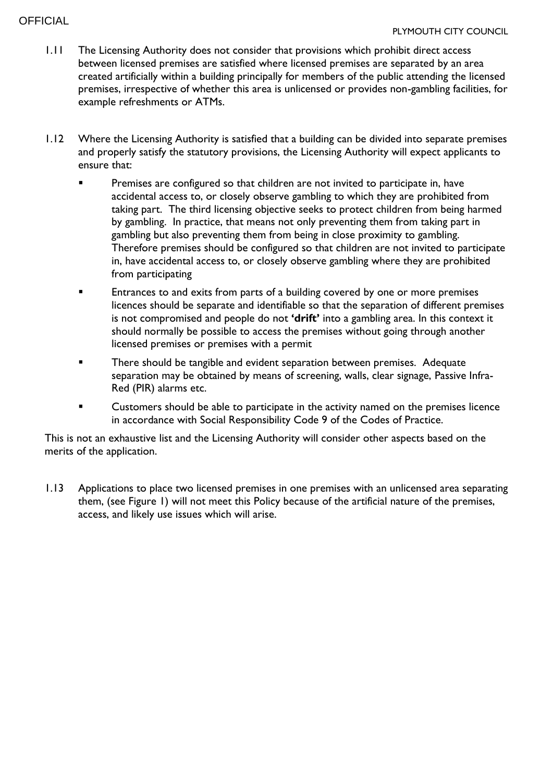## **OFFICIAL**

- 1.11 The Licensing Authority does not consider that provisions which prohibit direct access between licensed premises are satisfied where licensed premises are separated by an area created artificially within a building principally for members of the public attending the licensed premises, irrespective of whether this area is unlicensed or provides non-gambling facilities, for example refreshments or ATMs.
- 1.12 Where the Licensing Authority is satisfied that a building can be divided into separate premises and properly satisfy the statutory provisions, the Licensing Authority will expect applicants to ensure that:
	- Premises are configured so that children are not invited to participate in, have accidental access to, or closely observe gambling to which they are prohibited from taking part. The third licensing objective seeks to protect children from being harmed by gambling. In practice, that means not only preventing them from taking part in gambling but also preventing them from being in close proximity to gambling. Therefore premises should be configured so that children are not invited to participate in, have accidental access to, or closely observe gambling where they are prohibited from participating
	- **Entrances to and exits from parts of a building covered by one or more premises** licences should be separate and identifiable so that the separation of different premises is not compromised and people do not **'drift'** into a gambling area. In this context it should normally be possible to access the premises without going through another licensed premises or premises with a permit
	- There should be tangible and evident separation between premises. Adequate separation may be obtained by means of screening, walls, clear signage, Passive Infra-Red (PIR) alarms etc.
	- Customers should be able to participate in the activity named on the premises licence in accordance with Social Responsibility Code 9 of the Codes of Practice.

This is not an exhaustive list and the Licensing Authority will consider other aspects based on the merits of the application.

1.13 Applications to place two licensed premises in one premises with an unlicensed area separating them, (see Figure 1) will not meet this Policy because of the artificial nature of the premises, access, and likely use issues which will arise.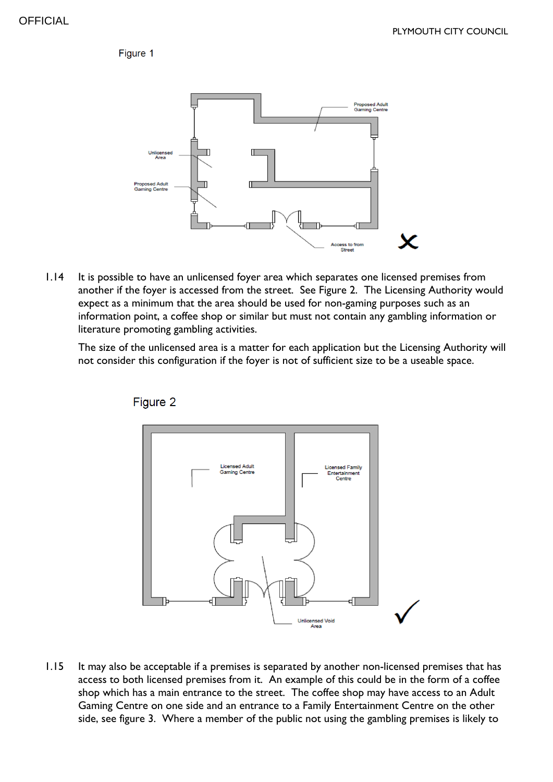Figure 1



1.14 It is possible to have an unlicensed foyer area which separates one licensed premises from another if the foyer is accessed from the street. See Figure 2. The Licensing Authority would expect as a minimum that the area should be used for non-gaming purposes such as an information point, a coffee shop or similar but must not contain any gambling information or literature promoting gambling activities.

The size of the unlicensed area is a matter for each application but the Licensing Authority will not consider this configuration if the foyer is not of sufficient size to be a useable space.





1.15 It may also be acceptable if a premises is separated by another non-licensed premises that has access to both licensed premises from it. An example of this could be in the form of a coffee shop which has a main entrance to the street. The coffee shop may have access to an Adult Gaming Centre on one side and an entrance to a Family Entertainment Centre on the other side, see figure 3. Where a member of the public not using the gambling premises is likely to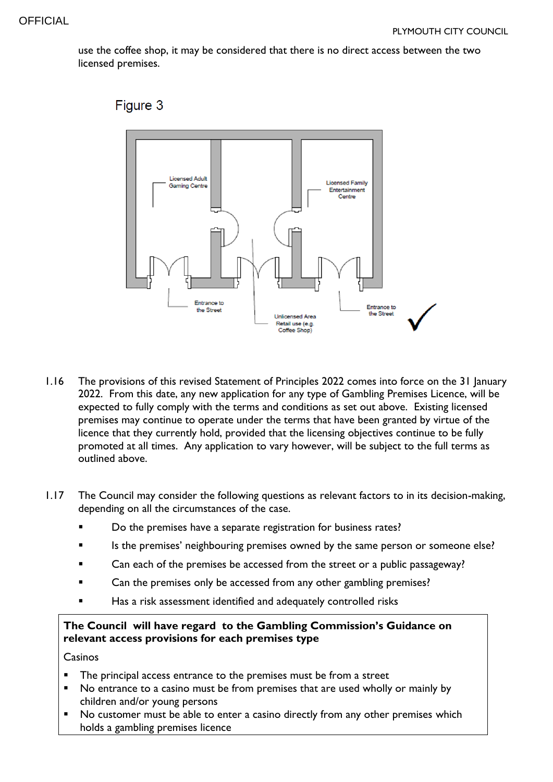use the coffee shop, it may be considered that there is no direct access between the two licensed premises.



## Figure 3

- 1.16 The provisions of this revised Statement of Principles 2022 comes into force on the 31 January 2022. From this date, any new application for any type of Gambling Premises Licence, will be expected to fully comply with the terms and conditions as set out above. Existing licensed premises may continue to operate under the terms that have been granted by virtue of the licence that they currently hold, provided that the licensing objectives continue to be fully promoted at all times. Any application to vary however, will be subject to the full terms as outlined above.
- 1.17 The Council may consider the following questions as relevant factors to in its decision-making, depending on all the circumstances of the case.
	- Do the premises have a separate registration for business rates?
	- Is the premises' neighbouring premises owned by the same person or someone else?
	- Can each of the premises be accessed from the street or a public passageway?
	- **Example 2** Can the premises only be accessed from any other gambling premises?
	- Has a risk assessment identified and adequately controlled risks

#### **The Council will have regard to the Gambling Commission's Guidance on relevant access provisions for each premises type**

Casinos

- The principal access entrance to the premises must be from a street
- No entrance to a casino must be from premises that are used wholly or mainly by children and/or young persons
- No customer must be able to enter a casino directly from any other premises which holds a gambling premises licence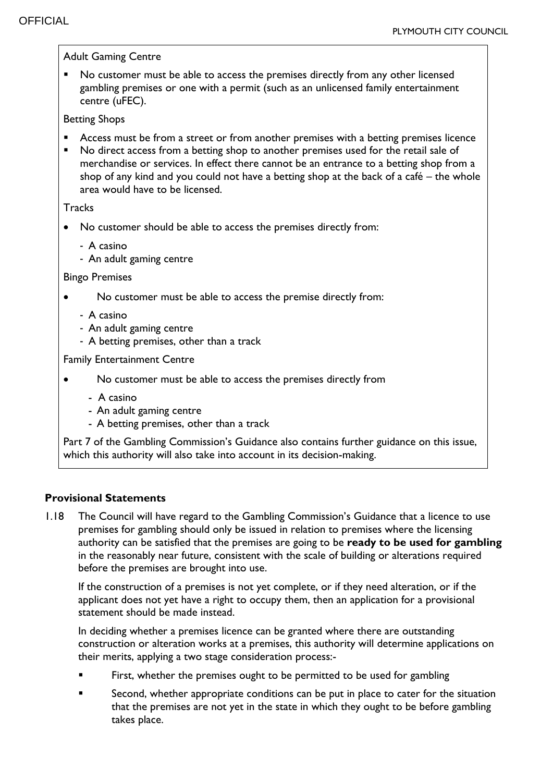Adult Gaming Centre No customer must be able to access the premises directly from any other licensed gambling premises or one with a permit (such as an unlicensed family entertainment centre (uFEC). Betting Shops Access must be from a street or from another premises with a betting premises licence No direct access from a betting shop to another premises used for the retail sale of merchandise or services. In effect there cannot be an entrance to a betting shop from a shop of any kind and you could not have a betting shop at the back of a café – the whole area would have to be licensed. **Tracks**  No customer should be able to access the premises directly from: - A casino - An adult gaming centre Bingo Premises No customer must be able to access the premise directly from: - A casino - An adult gaming centre - A betting premises, other than a track Family Entertainment Centre No customer must be able to access the premises directly from - A casino - An adult gaming centre - A betting premises, other than a track Part 7 of the Gambling Commission's Guidance also contains further guidance on this issue, which this authority will also take into account in its decision-making.

#### **Provisional Statements**

1.18 The Council will have regard to the Gambling Commission's Guidance that a licence to use premises for gambling should only be issued in relation to premises where the licensing authority can be satisfied that the premises are going to be **ready to be used for gambling** in the reasonably near future, consistent with the scale of building or alterations required before the premises are brought into use.

If the construction of a premises is not yet complete, or if they need alteration, or if the applicant does not yet have a right to occupy them, then an application for a provisional statement should be made instead.

In deciding whether a premises licence can be granted where there are outstanding construction or alteration works at a premises, this authority will determine applications on their merits, applying a two stage consideration process:-

- First, whether the premises ought to be permitted to be used for gambling
- Second, whether appropriate conditions can be put in place to cater for the situation that the premises are not yet in the state in which they ought to be before gambling takes place.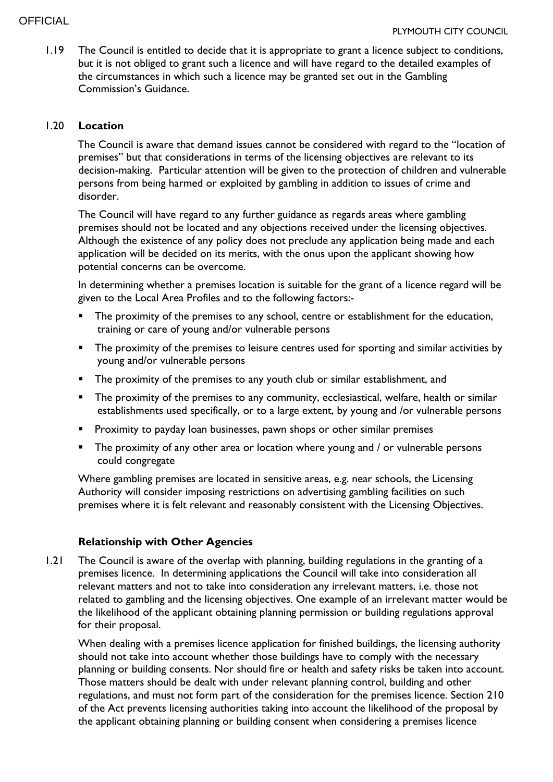#### **OFFICIAL**

1.19 The Council is entitled to decide that it is appropriate to grant a licence subject to conditions, but it is not obliged to grant such a licence and will have regard to the detailed examples of the circumstances in which such a licence may be granted set out in the Gambling Commission's Guidance.

#### 1.20 **Location**

The Council is aware that demand issues cannot be considered with regard to the "location of premises" but that considerations in terms of the licensing objectives are relevant to its decision-making. Particular attention will be given to the protection of children and vulnerable persons from being harmed or exploited by gambling in addition to issues of crime and disorder.

The Council will have regard to any further guidance as regards areas where gambling premises should not be located and any objections received under the licensing objectives. Although the existence of any policy does not preclude any application being made and each application will be decided on its merits, with the onus upon the applicant showing how potential concerns can be overcome.

In determining whether a premises location is suitable for the grant of a licence regard will be given to the Local Area Profiles and to the following factors:-

- **The proximity of the premises to any school, centre or establishment for the education,** training or care of young and/or vulnerable persons
- The proximity of the premises to leisure centres used for sporting and similar activities by young and/or vulnerable persons
- **The proximity of the premises to any youth club or similar establishment, and**
- The proximity of the premises to any community, ecclesiastical, welfare, health or similar establishments used specifically, or to a large extent, by young and /or vulnerable persons
- Proximity to payday loan businesses, pawn shops or other similar premises
- The proximity of any other area or location where young and / or vulnerable persons could congregate

Where gambling premises are located in sensitive areas, e.g. near schools, the Licensing Authority will consider imposing restrictions on advertising gambling facilities on such premises where it is felt relevant and reasonably consistent with the Licensing Objectives.

## **Relationship with Other Agencies**

1.21 The Council is aware of the overlap with planning, building regulations in the granting of a premises licence. In determining applications the Council will take into consideration all relevant matters and not to take into consideration any irrelevant matters, i.e. those not related to gambling and the licensing objectives. One example of an irrelevant matter would be the likelihood of the applicant obtaining planning permission or building regulations approval for their proposal.

When dealing with a premises licence application for finished buildings, the licensing authority should not take into account whether those buildings have to comply with the necessary planning or building consents. Nor should fire or health and safety risks be taken into account. Those matters should be dealt with under relevant planning control, building and other regulations, and must not form part of the consideration for the premises licence. Section 210 of the Act prevents licensing authorities taking into account the likelihood of the proposal by the applicant obtaining planning or building consent when considering a premises licence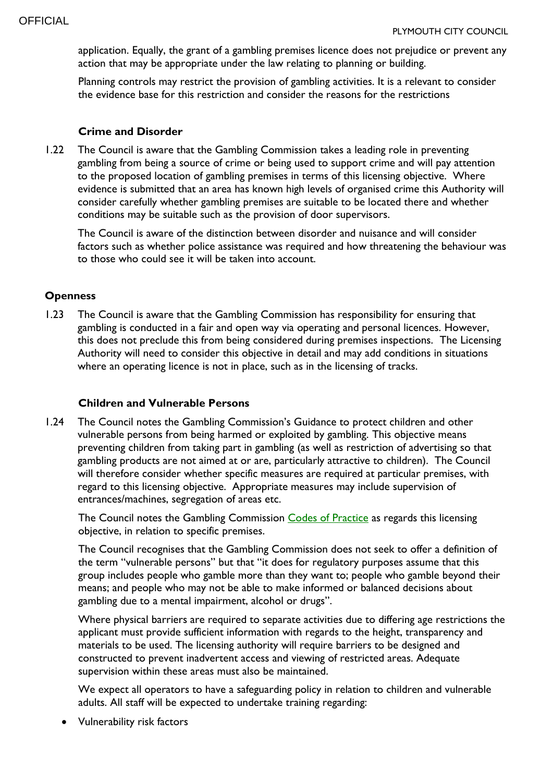application. Equally, the grant of a gambling premises licence does not prejudice or prevent any action that may be appropriate under the law relating to planning or building.

Planning controls may restrict the provision of gambling activities. It is a relevant to consider the evidence base for this restriction and consider the reasons for the restrictions

#### **Crime and Disorder**

1.22 The Council is aware that the Gambling Commission takes a leading role in preventing gambling from being a source of crime or being used to support crime and will pay attention to the proposed location of gambling premises in terms of this licensing objective. Where evidence is submitted that an area has known high levels of organised crime this Authority will consider carefully whether gambling premises are suitable to be located there and whether conditions may be suitable such as the provision of door supervisors.

The Council is aware of the distinction between disorder and nuisance and will consider factors such as whether police assistance was required and how threatening the behaviour was to those who could see it will be taken into account.

#### **Openness**

1.23 The Council is aware that the Gambling Commission has responsibility for ensuring that gambling is conducted in a fair and open way via operating and personal licences. However, this does not preclude this from being considered during premises inspections. The Licensing Authority will need to consider this objective in detail and may add conditions in situations where an operating licence is not in place, such as in the licensing of tracks.

#### **Children and Vulnerable Persons**

1.24 The Council notes the Gambling Commission's Guidance to protect children and other vulnerable persons from being harmed or exploited by gambling. This objective means preventing children from taking part in gambling (as well as restriction of advertising so that gambling products are not aimed at or are, particularly attractive to children). The Council will therefore consider whether specific measures are required at particular premises, with regard to this licensing objective. Appropriate measures may include supervision of entrances/machines, segregation of areas etc.

The Council notes the Gambling Commission [Codes of Practice](https://beta.gamblingcommission.gov.uk/authorities/codes-of-practice) as regards this licensing objective, in relation to specific premises.

The Council recognises that the Gambling Commission does not seek to offer a definition of the term "vulnerable persons" but that "it does for regulatory purposes assume that this group includes people who gamble more than they want to; people who gamble beyond their means; and people who may not be able to make informed or balanced decisions about gambling due to a mental impairment, alcohol or drugs".

Where physical barriers are required to separate activities due to differing age restrictions the applicant must provide sufficient information with regards to the height, transparency and materials to be used. The licensing authority will require barriers to be designed and constructed to prevent inadvertent access and viewing of restricted areas. Adequate supervision within these areas must also be maintained.

We expect all operators to have a safeguarding policy in relation to children and vulnerable adults. All staff will be expected to undertake training regarding:

Vulnerability risk factors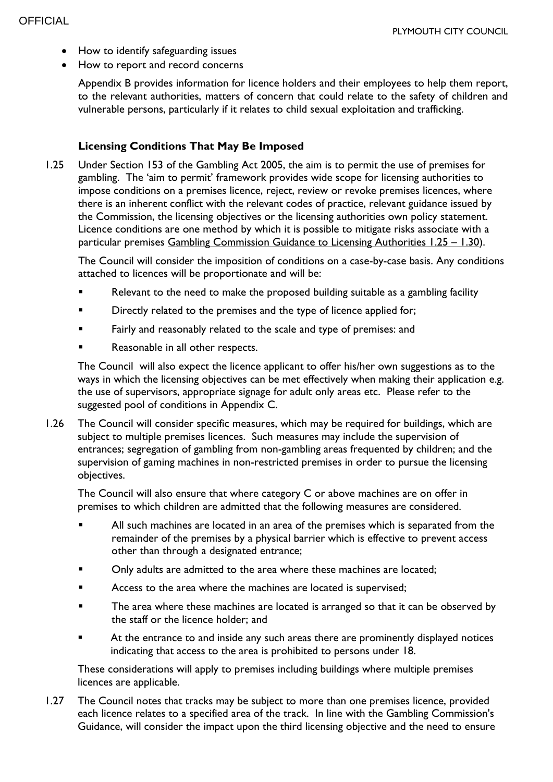- How to identify safeguarding issues
- How to report and record concerns

Appendix B provides information for licence holders and their employees to help them report, to the relevant authorities, matters of concern that could relate to the safety of children and vulnerable persons, particularly if it relates to child sexual exploitation and trafficking.

#### **Licensing Conditions That May Be Imposed**

1.25 Under Section 153 of the Gambling Act 2005, the aim is to permit the use of premises for gambling. The 'aim to permit' framework provides wide scope for licensing authorities to impose conditions on a premises licence, reject, review or revoke premises licences, where there is an inherent conflict with the relevant codes of practice, relevant guidance issued by the Commission, the licensing objectives or the licensing authorities own policy statement. Licence conditions are one method by which it is possible to mitigate risks associate with a particular premises [Gambling Commission Guidance to Licensing Authorities 1.25](https://www.gamblingcommission.gov.uk/guidance/guidance-to-licensing-authorities/part-1-licensing-authority-discretion-s-153-of-the-act) – 1.30).

The Council will consider the imposition of conditions on a case-by-case basis. Any conditions attached to licences will be proportionate and will be:

- Relevant to the need to make the proposed building suitable as a gambling facility
- Directly related to the premises and the type of licence applied for;
- Fairly and reasonably related to the scale and type of premises: and
- Reasonable in all other respects.

The Council will also expect the licence applicant to offer his/her own suggestions as to the ways in which the licensing objectives can be met effectively when making their application e.g. the use of supervisors, appropriate signage for adult only areas etc. Please refer to the suggested pool of conditions in Appendix C.

1.26 The Council will consider specific measures, which may be required for buildings, which are subject to multiple premises licences. Such measures may include the supervision of entrances; segregation of gambling from non-gambling areas frequented by children; and the supervision of gaming machines in non-restricted premises in order to pursue the licensing objectives.

The Council will also ensure that where category C or above machines are on offer in premises to which children are admitted that the following measures are considered.

- All such machines are located in an area of the premises which is separated from the remainder of the premises by a physical barrier which is effective to prevent access other than through a designated entrance;
- **•** Only adults are admitted to the area where these machines are located;
- **EXECO ACCESS to the area where the machines are located is supervised;**
- The area where these machines are located is arranged so that it can be observed by the staff or the licence holder; and
- At the entrance to and inside any such areas there are prominently displayed notices indicating that access to the area is prohibited to persons under 18.

These considerations will apply to premises including buildings where multiple premises licences are applicable.

1.27 The Council notes that tracks may be subject to more than one premises licence, provided each licence relates to a specified area of the track. In line with the Gambling Commission's Guidance, will consider the impact upon the third licensing objective and the need to ensure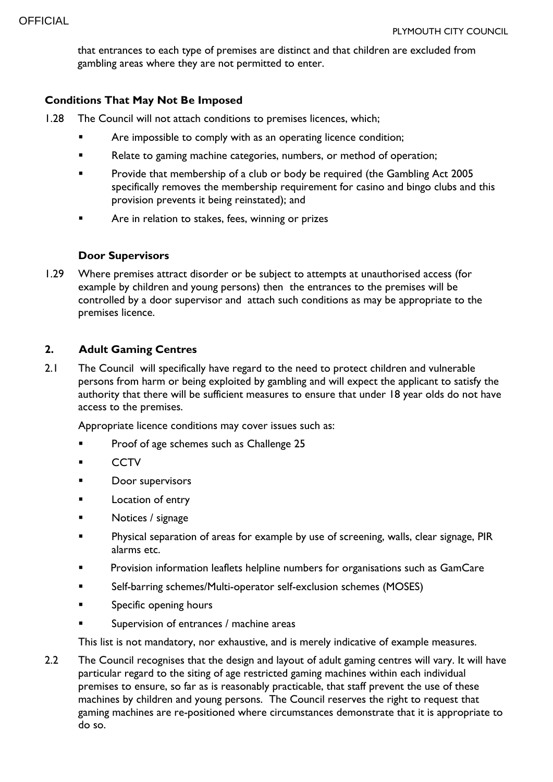that entrances to each type of premises are distinct and that children are excluded from gambling areas where they are not permitted to enter.

## **Conditions That May Not Be Imposed**

- 1.28 The Council will not attach conditions to premises licences, which;
	- Are impossible to comply with as an operating licence condition;
	- **EXEC** Relate to gaming machine categories, numbers, or method of operation;
	- **Provide that membership of a club or body be required (the Gambling Act 2005** specifically removes the membership requirement for casino and bingo clubs and this provision prevents it being reinstated); and
	- **EXECUTE:** Are in relation to stakes, fees, winning or prizes

#### **Door Supervisors**

1.29 Where premises attract disorder or be subject to attempts at unauthorised access (for example by children and young persons) then the entrances to the premises will be controlled by a door supervisor and attach such conditions as may be appropriate to the premises licence.

#### **2. Adult Gaming Centres**

2.1 The Council will specifically have regard to the need to protect children and vulnerable persons from harm or being exploited by gambling and will expect the applicant to satisfy the authority that there will be sufficient measures to ensure that under 18 year olds do not have access to the premises.

Appropriate licence conditions may cover issues such as:

- Proof of age schemes such as Challenge 25
- **CCTV**
- Door supervisors
- **Example 1** Location of entry
- Notices / signage
- **Physical separation of areas for example by use of screening, walls, clear signage, PIR** alarms etc.
- **Provision information leaflets helpline numbers for organisations such as GamCare**
- Self-barring schemes/Multi-operator self-exclusion schemes (MOSES)
- **Specific opening hours**
- Supervision of entrances / machine areas

This list is not mandatory, nor exhaustive, and is merely indicative of example measures.

2.2 The Council recognises that the design and layout of adult gaming centres will vary. It will have particular regard to the siting of age restricted gaming machines within each individual premises to ensure, so far as is reasonably practicable, that staff prevent the use of these machines by children and young persons. The Council reserves the right to request that gaming machines are re-positioned where circumstances demonstrate that it is appropriate to do so.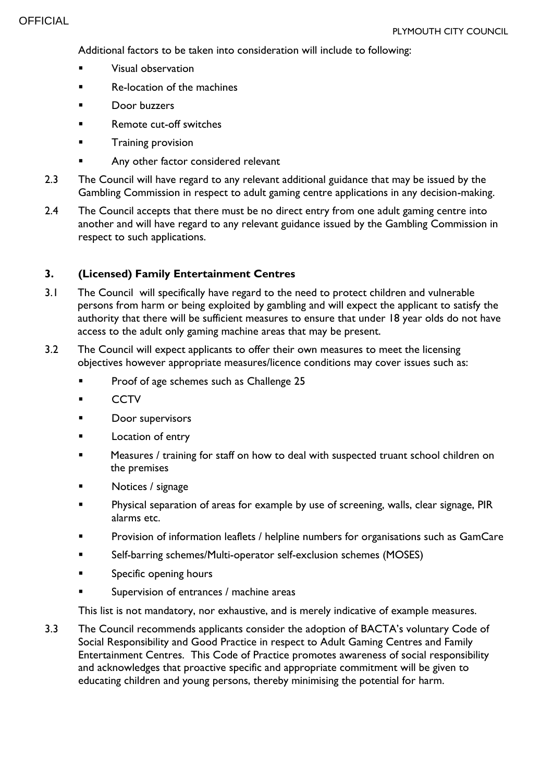Additional factors to be taken into consideration will include to following:

- Visual observation
- Re-location of the machines
- Door buzzers
- **Remote cut-off switches**
- **Training provision**
- Any other factor considered relevant
- 2.3 The Council will have regard to any relevant additional guidance that may be issued by the Gambling Commission in respect to adult gaming centre applications in any decision-making.
- 2.4 The Council accepts that there must be no direct entry from one adult gaming centre into another and will have regard to any relevant guidance issued by the Gambling Commission in respect to such applications.

## **3. (Licensed) Family Entertainment Centres**

- 3.1 The Council will specifically have regard to the need to protect children and vulnerable persons from harm or being exploited by gambling and will expect the applicant to satisfy the authority that there will be sufficient measures to ensure that under 18 year olds do not have access to the adult only gaming machine areas that may be present.
- 3.2 The Council will expect applicants to offer their own measures to meet the licensing objectives however appropriate measures/licence conditions may cover issues such as:
	- Proof of age schemes such as Challenge 25
	- **CCTV**
	- Door supervisors
	- **Location of entry**
	- Measures / training for staff on how to deal with suspected truant school children on the premises
	- Notices / signage
	- Physical separation of areas for example by use of screening, walls, clear signage, PIR alarms etc.
	- **Provision of information leaflets / helpline numbers for organisations such as GamCare**
	- Self-barring schemes/Multi-operator self-exclusion schemes (MOSES)
	- Specific opening hours
	- Supervision of entrances / machine areas

This list is not mandatory, nor exhaustive, and is merely indicative of example measures.

3.3 The Council recommends applicants consider the adoption of BACTA's voluntary Code of Social Responsibility and Good Practice in respect to Adult Gaming Centres and Family Entertainment Centres. This Code of Practice promotes awareness of social responsibility and acknowledges that proactive specific and appropriate commitment will be given to educating children and young persons, thereby minimising the potential for harm.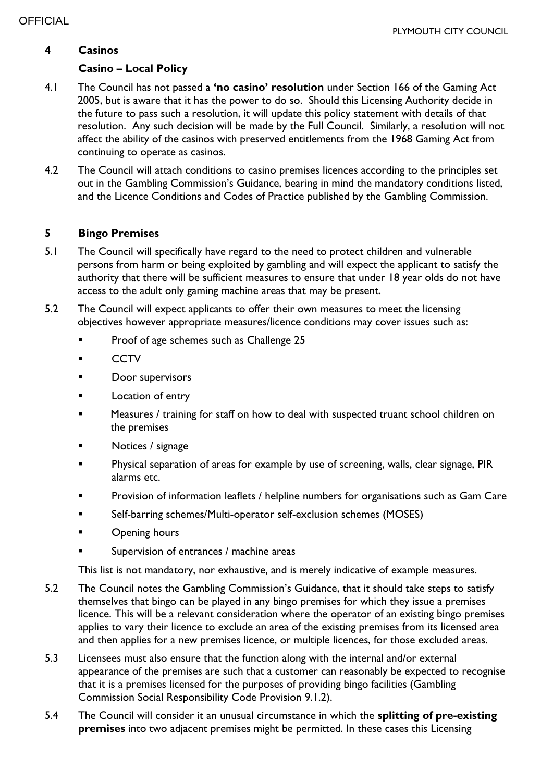## **4 Casinos**

## **Casino – Local Policy**

- 4.1 The Council has not passed a **'no casino' resolution** under Section 166 of the Gaming Act 2005, but is aware that it has the power to do so. Should this Licensing Authority decide in the future to pass such a resolution, it will update this policy statement with details of that resolution. Any such decision will be made by the Full Council. Similarly, a resolution will not affect the ability of the casinos with preserved entitlements from the 1968 Gaming Act from continuing to operate as casinos.
- 4.2 The Council will attach conditions to casino premises licences according to the principles set out in the Gambling Commission's Guidance, bearing in mind the mandatory conditions listed, and the Licence Conditions and Codes of Practice published by the Gambling Commission.

#### **5 Bingo Premises**

- 5.1 The Council will specifically have regard to the need to protect children and vulnerable persons from harm or being exploited by gambling and will expect the applicant to satisfy the authority that there will be sufficient measures to ensure that under 18 year olds do not have access to the adult only gaming machine areas that may be present.
- 5.2 The Council will expect applicants to offer their own measures to meet the licensing objectives however appropriate measures/licence conditions may cover issues such as:
	- Proof of age schemes such as Challenge 25
	- **CCTV**
	- **Door supervisors**
	- **Location of entry**
	- Measures / training for staff on how to deal with suspected truant school children on the premises
	- Notices / signage
	- Physical separation of areas for example by use of screening, walls, clear signage, PIR alarms etc.
	- Provision of information leaflets / helpline numbers for organisations such as Gam Care
	- Self-barring schemes/Multi-operator self-exclusion schemes (MOSES)
	- Opening hours
	- Supervision of entrances / machine areas

This list is not mandatory, nor exhaustive, and is merely indicative of example measures.

- 5.2 The Council notes the Gambling Commission's Guidance, that it should take steps to satisfy themselves that bingo can be played in any bingo premises for which they issue a premises licence. This will be a relevant consideration where the operator of an existing bingo premises applies to vary their licence to exclude an area of the existing premises from its licensed area and then applies for a new premises licence, or multiple licences, for those excluded areas.
- 5.3 Licensees must also ensure that the function along with the internal and/or external appearance of the premises are such that a customer can reasonably be expected to recognise that it is a premises licensed for the purposes of providing bingo facilities (Gambling Commission Social Responsibility Code Provision 9.1.2).
- 5.4 The Council will consider it an unusual circumstance in which the **splitting of pre-existing premises** into two adjacent premises might be permitted. In these cases this Licensing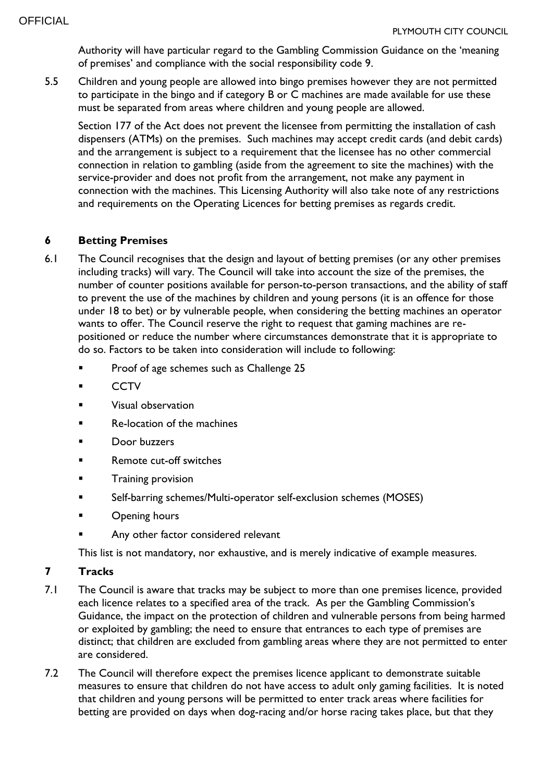Authority will have particular regard to the Gambling Commission Guidance on the 'meaning of premises' and compliance with the social responsibility code 9.

5.5 Children and young people are allowed into bingo premises however they are not permitted to participate in the bingo and if category B or C machines are made available for use these must be separated from areas where children and young people are allowed.

Section 177 of the Act does not prevent the licensee from permitting the installation of cash dispensers (ATMs) on the premises. Such machines may accept credit cards (and debit cards) and the arrangement is subject to a requirement that the licensee has no other commercial connection in relation to gambling (aside from the agreement to site the machines) with the service-provider and does not profit from the arrangement, not make any payment in connection with the machines. This Licensing Authority will also take note of any restrictions and requirements on the Operating Licences for betting premises as regards credit.

## **6 Betting Premises**

- 6.1 The Council recognises that the design and layout of betting premises (or any other premises including tracks) will vary. The Council will take into account the size of the premises, the number of counter positions available for person-to-person transactions, and the ability of staff to prevent the use of the machines by children and young persons (it is an offence for those under 18 to bet) or by vulnerable people, when considering the betting machines an operator wants to offer. The Council reserve the right to request that gaming machines are repositioned or reduce the number where circumstances demonstrate that it is appropriate to do so. Factors to be taken into consideration will include to following:
	- Proof of age schemes such as Challenge 25
	- **CCTV**
	- Visual observation
	- Re-location of the machines
	- Door buzzers
	- Remote cut-off switches
	- Training provision
	- Self-barring schemes/Multi-operator self-exclusion schemes (MOSES)
	- **C** Dening hours
	- Any other factor considered relevant

This list is not mandatory, nor exhaustive, and is merely indicative of example measures.

## **7 Tracks**

- 7.1 The Council is aware that tracks may be subject to more than one premises licence, provided each licence relates to a specified area of the track. As per the Gambling Commission's Guidance, the impact on the protection of children and vulnerable persons from being harmed or exploited by gambling; the need to ensure that entrances to each type of premises are distinct; that children are excluded from gambling areas where they are not permitted to enter are considered.
- 7.2 The Council will therefore expect the premises licence applicant to demonstrate suitable measures to ensure that children do not have access to adult only gaming facilities. It is noted that children and young persons will be permitted to enter track areas where facilities for betting are provided on days when dog-racing and/or horse racing takes place, but that they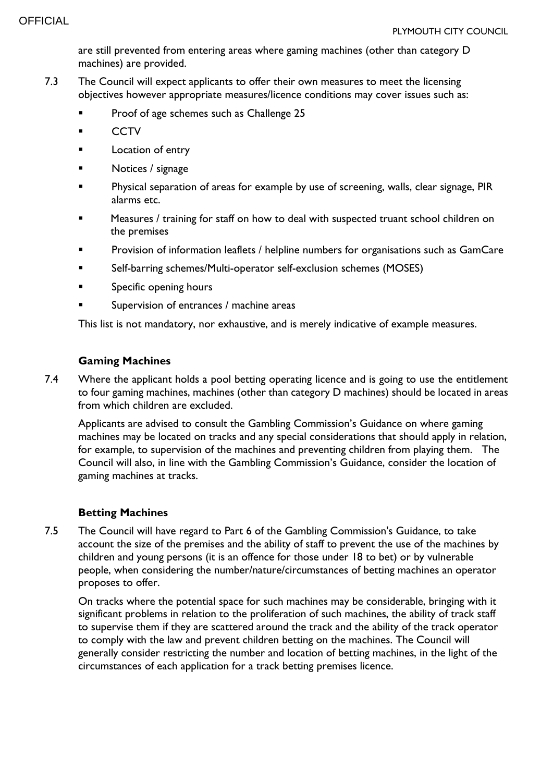are still prevented from entering areas where gaming machines (other than category D machines) are provided.

- 7.3 The Council will expect applicants to offer their own measures to meet the licensing objectives however appropriate measures/licence conditions may cover issues such as:
	- Proof of age schemes such as Challenge 25
	- **CCTV**
	- **Location of entry**
	- Notices / signage
	- **Physical separation of areas for example by use of screening, walls, clear signage, PIR** alarms etc.
	- Measures / training for staff on how to deal with suspected truant school children on the premises
	- Provision of information leaflets / helpline numbers for organisations such as GamCare
	- Self-barring schemes/Multi-operator self-exclusion schemes (MOSES)
	- **Specific opening hours**
	- Supervision of entrances / machine areas

This list is not mandatory, nor exhaustive, and is merely indicative of example measures.

#### **Gaming Machines**

7.4 Where the applicant holds a pool betting operating licence and is going to use the entitlement to four gaming machines, machines (other than category D machines) should be located in areas from which children are excluded.

Applicants are advised to consult the Gambling Commission's Guidance on where gaming machines may be located on tracks and any special considerations that should apply in relation, for example, to supervision of the machines and preventing children from playing them. The Council will also, in line with the Gambling Commission's Guidance, consider the location of gaming machines at tracks.

#### **Betting Machines**

7.5 The Council will have regard to Part 6 of the Gambling Commission's Guidance, to take account the size of the premises and the ability of staff to prevent the use of the machines by children and young persons (it is an offence for those under 18 to bet) or by vulnerable people, when considering the number/nature/circumstances of betting machines an operator proposes to offer.

On tracks where the potential space for such machines may be considerable, bringing with it significant problems in relation to the proliferation of such machines, the ability of track staff to supervise them if they are scattered around the track and the ability of the track operator to comply with the law and prevent children betting on the machines. The Council will generally consider restricting the number and location of betting machines, in the light of the circumstances of each application for a track betting premises licence.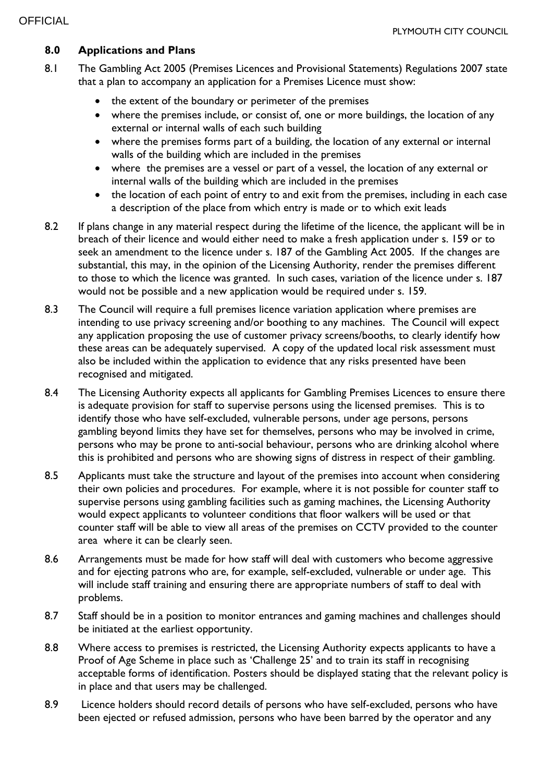## **8.0 Applications and Plans**

- 8.1 The Gambling Act 2005 (Premises Licences and Provisional Statements) Regulations 2007 state that a plan to accompany an application for a Premises Licence must show:
	- the extent of the boundary or perimeter of the premises
	- where the premises include, or consist of, one or more buildings, the location of any external or internal walls of each such building
	- where the premises forms part of a building, the location of any external or internal walls of the building which are included in the premises
	- where the premises are a vessel or part of a vessel, the location of any external or internal walls of the building which are included in the premises
	- the location of each point of entry to and exit from the premises, including in each case a description of the place from which entry is made or to which exit leads
- 8.2 If plans change in any material respect during the lifetime of the licence, the applicant will be in breach of their licence and would either need to make a fresh application under s. 159 or to seek an amendment to the licence under s. 187 of the Gambling Act 2005. If the changes are substantial, this may, in the opinion of the Licensing Authority, render the premises different to those to which the licence was granted. In such cases, variation of the licence under s. 187 would not be possible and a new application would be required under s. 159.
- 8.3 The Council will require a full premises licence variation application where premises are intending to use privacy screening and/or boothing to any machines. The Council will expect any application proposing the use of customer privacy screens/booths, to clearly identify how these areas can be adequately supervised. A copy of the updated local risk assessment must also be included within the application to evidence that any risks presented have been recognised and mitigated.
- 8.4 The Licensing Authority expects all applicants for Gambling Premises Licences to ensure there is adequate provision for staff to supervise persons using the licensed premises. This is to identify those who have self-excluded, vulnerable persons, under age persons, persons gambling beyond limits they have set for themselves, persons who may be involved in crime, persons who may be prone to anti-social behaviour, persons who are drinking alcohol where this is prohibited and persons who are showing signs of distress in respect of their gambling.
- 8.5 Applicants must take the structure and layout of the premises into account when considering their own policies and procedures. For example, where it is not possible for counter staff to supervise persons using gambling facilities such as gaming machines, the Licensing Authority would expect applicants to volunteer conditions that floor walkers will be used or that counter staff will be able to view all areas of the premises on CCTV provided to the counter area where it can be clearly seen.
- 8.6 Arrangements must be made for how staff will deal with customers who become aggressive and for ejecting patrons who are, for example, self-excluded, vulnerable or under age. This will include staff training and ensuring there are appropriate numbers of staff to deal with problems.
- 8.7 Staff should be in a position to monitor entrances and gaming machines and challenges should be initiated at the earliest opportunity.
- 8.8 Where access to premises is restricted, the Licensing Authority expects applicants to have a Proof of Age Scheme in place such as 'Challenge 25' and to train its staff in recognising acceptable forms of identification. Posters should be displayed stating that the relevant policy is in place and that users may be challenged.
- 8.9 Licence holders should record details of persons who have self-excluded, persons who have been ejected or refused admission, persons who have been barred by the operator and any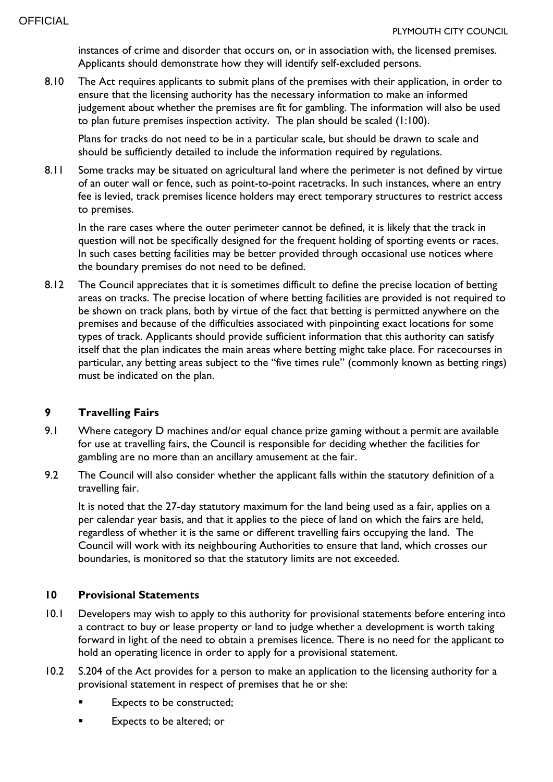instances of crime and disorder that occurs on, or in association with, the licensed premises. Applicants should demonstrate how they will identify self-excluded persons.

8.10 The Act requires applicants to submit plans of the premises with their application, in order to ensure that the licensing authority has the necessary information to make an informed judgement about whether the premises are fit for gambling. The information will also be used to plan future premises inspection activity. The plan should be scaled (1:100).

Plans for tracks do not need to be in a particular scale, but should be drawn to scale and should be sufficiently detailed to include the information required by regulations.

8.11 Some tracks may be situated on agricultural land where the perimeter is not defined by virtue of an outer wall or fence, such as point-to-point racetracks. In such instances, where an entry fee is levied, track premises licence holders may erect temporary structures to restrict access to premises.

In the rare cases where the outer perimeter cannot be defined, it is likely that the track in question will not be specifically designed for the frequent holding of sporting events or races. In such cases betting facilities may be better provided through occasional use notices where the boundary premises do not need to be defined.

8.12 The Council appreciates that it is sometimes difficult to define the precise location of betting areas on tracks. The precise location of where betting facilities are provided is not required to be shown on track plans, both by virtue of the fact that betting is permitted anywhere on the premises and because of the difficulties associated with pinpointing exact locations for some types of track. Applicants should provide sufficient information that this authority can satisfy itself that the plan indicates the main areas where betting might take place. For racecourses in particular, any betting areas subject to the "five times rule" (commonly known as betting rings) must be indicated on the plan.

## **9 Travelling Fairs**

- 9.1 Where category D machines and/or equal chance prize gaming without a permit are available for use at travelling fairs, the Council is responsible for deciding whether the facilities for gambling are no more than an ancillary amusement at the fair.
- 9.2 The Council will also consider whether the applicant falls within the statutory definition of a travelling fair.

It is noted that the 27-day statutory maximum for the land being used as a fair, applies on a per calendar year basis, and that it applies to the piece of land on which the fairs are held, regardless of whether it is the same or different travelling fairs occupying the land. The Council will work with its neighbouring Authorities to ensure that land, which crosses our boundaries, is monitored so that the statutory limits are not exceeded.

#### **10 Provisional Statements**

- 10.1 Developers may wish to apply to this authority for provisional statements before entering into a contract to buy or lease property or land to judge whether a development is worth taking forward in light of the need to obtain a premises licence. There is no need for the applicant to hold an operating licence in order to apply for a provisional statement.
- 10.2 S.204 of the Act provides for a person to make an application to the licensing authority for a provisional statement in respect of premises that he or she:
	- Expects to be constructed;
	- Expects to be altered; or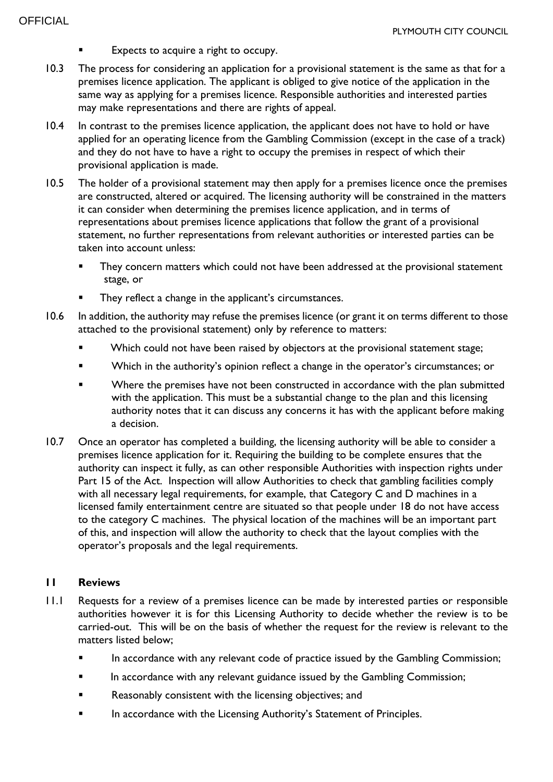- Expects to acquire a right to occupy.
- 10.3 The process for considering an application for a provisional statement is the same as that for a premises licence application. The applicant is obliged to give notice of the application in the same way as applying for a premises licence. Responsible authorities and interested parties may make representations and there are rights of appeal.
- 10.4 In contrast to the premises licence application, the applicant does not have to hold or have applied for an operating licence from the Gambling Commission (except in the case of a track) and they do not have to have a right to occupy the premises in respect of which their provisional application is made.
- 10.5 The holder of a provisional statement may then apply for a premises licence once the premises are constructed, altered or acquired. The licensing authority will be constrained in the matters it can consider when determining the premises licence application, and in terms of representations about premises licence applications that follow the grant of a provisional statement, no further representations from relevant authorities or interested parties can be taken into account unless:
	- They concern matters which could not have been addressed at the provisional statement stage, or
	- They reflect a change in the applicant's circumstances.
- 10.6 In addition, the authority may refuse the premises licence (or grant it on terms different to those attached to the provisional statement) only by reference to matters:
	- Which could not have been raised by objectors at the provisional statement stage;
	- Which in the authority's opinion reflect a change in the operator's circumstances; or
	- Where the premises have not been constructed in accordance with the plan submitted with the application. This must be a substantial change to the plan and this licensing authority notes that it can discuss any concerns it has with the applicant before making a decision.
- 10.7 Once an operator has completed a building, the licensing authority will be able to consider a premises licence application for it. Requiring the building to be complete ensures that the authority can inspect it fully, as can other responsible Authorities with inspection rights under Part 15 of the Act. Inspection will allow Authorities to check that gambling facilities comply with all necessary legal requirements, for example, that Category C and D machines in a licensed family entertainment centre are situated so that people under 18 do not have access to the category C machines. The physical location of the machines will be an important part of this, and inspection will allow the authority to check that the layout complies with the operator's proposals and the legal requirements.

#### **11 Reviews**

- 11.1 Requests for a review of a premises licence can be made by interested parties or responsible authorities however it is for this Licensing Authority to decide whether the review is to be carried-out. This will be on the basis of whether the request for the review is relevant to the matters listed below;
	- In accordance with any relevant code of practice issued by the Gambling Commission;
	- In accordance with any relevant guidance issued by the Gambling Commission;
	- **Reasonably consistent with the licensing objectives; and**
	- In accordance with the Licensing Authority's Statement of Principles.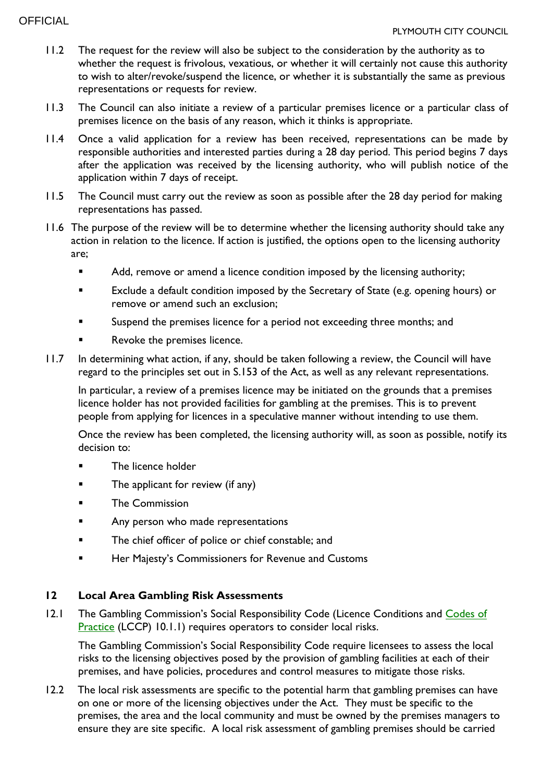- 11.2 The request for the review will also be subject to the consideration by the authority as to whether the request is frivolous, vexatious, or whether it will certainly not cause this authority to wish to alter/revoke/suspend the licence, or whether it is substantially the same as previous representations or requests for review.
- 11.3 The Council can also initiate a review of a particular premises licence or a particular class of premises licence on the basis of any reason, which it thinks is appropriate.
- 11.4 Once a valid application for a review has been received, representations can be made by responsible authorities and interested parties during a 28 day period. This period begins 7 days after the application was received by the licensing authority, who will publish notice of the application within 7 days of receipt.
- 11.5 The Council must carry out the review as soon as possible after the 28 day period for making representations has passed.
- 11.6 The purpose of the review will be to determine whether the licensing authority should take any action in relation to the licence. If action is justified, the options open to the licensing authority are;
	- Add, remove or amend a licence condition imposed by the licensing authority;
	- Exclude a default condition imposed by the Secretary of State (e.g. opening hours) or remove or amend such an exclusion;
	- Suspend the premises licence for a period not exceeding three months; and
	- Revoke the premises licence.
- 11.7 In determining what action, if any, should be taken following a review, the Council will have regard to the principles set out in S.153 of the Act, as well as any relevant representations.

In particular, a review of a premises licence may be initiated on the grounds that a premises licence holder has not provided facilities for gambling at the premises. This is to prevent people from applying for licences in a speculative manner without intending to use them.

Once the review has been completed, the licensing authority will, as soon as possible, notify its decision to:

- The licence holder
- **The applicant for review (if any)**
- The Commission
- **EXECUTE:** Any person who made representations
- **The chief officer of police or chief constable; and**
- **Her Majesty's Commissioners for Revenue and Customs**

## **12 Local Area Gambling Risk Assessments**

12.1 The Gambling Commission's Social Responsibility Code (Licence Conditions and Codes of [Practice](https://beta.gamblingcommission.gov.uk/authorities/codes-of-practice) (LCCP) 10.1.1) requires operators to consider local risks.

The Gambling Commission's Social Responsibility Code require licensees to assess the local risks to the licensing objectives posed by the provision of gambling facilities at each of their premises, and have policies, procedures and control measures to mitigate those risks.

12.2 The local risk assessments are specific to the potential harm that gambling premises can have on one or more of the licensing objectives under the Act. They must be specific to the premises, the area and the local community and must be owned by the premises managers to ensure they are site specific. A local risk assessment of gambling premises should be carried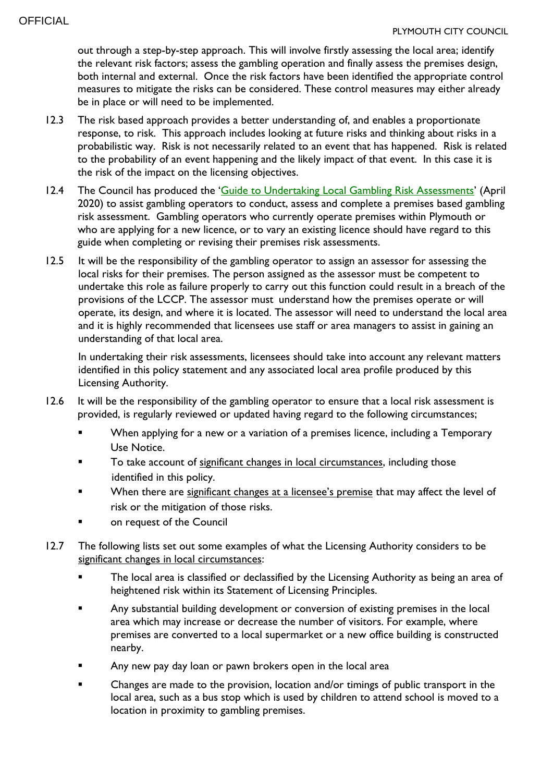out through a step-by-step approach. This will involve firstly assessing the local area; identify the relevant risk factors; assess the gambling operation and finally assess the premises design, both internal and external. Once the risk factors have been identified the appropriate control measures to mitigate the risks can be considered. These control measures may either already be in place or will need to be implemented.

- 12.3 The risk based approach provides a better understanding of, and enables a proportionate response, to risk. This approach includes looking at future risks and thinking about risks in a probabilistic way. Risk is not necessarily related to an event that has happened. Risk is related to the probability of an event happening and the likely impact of that event. In this case it is the risk of the impact on the licensing objectives.
- 12.4 The Council has produced the '[Guide to Undertaking Local Gambling Risk Assessments](https://www.plymouth.gov.uk/licensingandpermits/gamblinglicencesandpermits/gamblingpolicy)' (April 2020) to assist gambling operators to conduct, assess and complete a premises based gambling risk assessment. Gambling operators who currently operate premises within Plymouth or who are applying for a new licence, or to vary an existing licence should have regard to this guide when completing or revising their premises risk assessments.
- 12.5 It will be the responsibility of the gambling operator to assign an assessor for assessing the local risks for their premises. The person assigned as the assessor must be competent to undertake this role as failure properly to carry out this function could result in a breach of the provisions of the LCCP. The assessor must understand how the premises operate or will operate, its design, and where it is located. The assessor will need to understand the local area and it is highly recommended that licensees use staff or area managers to assist in gaining an understanding of that local area.

In undertaking their risk assessments, licensees should take into account any relevant matters identified in this policy statement and any associated local area profile produced by this Licensing Authority.

- 12.6 It will be the responsibility of the gambling operator to ensure that a local risk assessment is provided, is regularly reviewed or updated having regard to the following circumstances;
	- When applying for a new or a variation of a premises licence, including a Temporary Use Notice.
	- To take account of significant changes in local circumstances, including those identified in this policy.
	- When there are significant changes at a licensee's premise that may affect the level of risk or the mitigation of those risks.
	- on request of the Council
- 12.7 The following lists set out some examples of what the Licensing Authority considers to be significant changes in local circumstances:
	- The local area is classified or declassified by the Licensing Authority as being an area of heightened risk within its Statement of Licensing Principles.
	- Any substantial building development or conversion of existing premises in the local area which may increase or decrease the number of visitors. For example, where premises are converted to a local supermarket or a new office building is constructed nearby.
	- Any new pay day loan or pawn brokers open in the local area
	- **EXECH** Changes are made to the provision, location and/or timings of public transport in the local area, such as a bus stop which is used by children to attend school is moved to a location in proximity to gambling premises.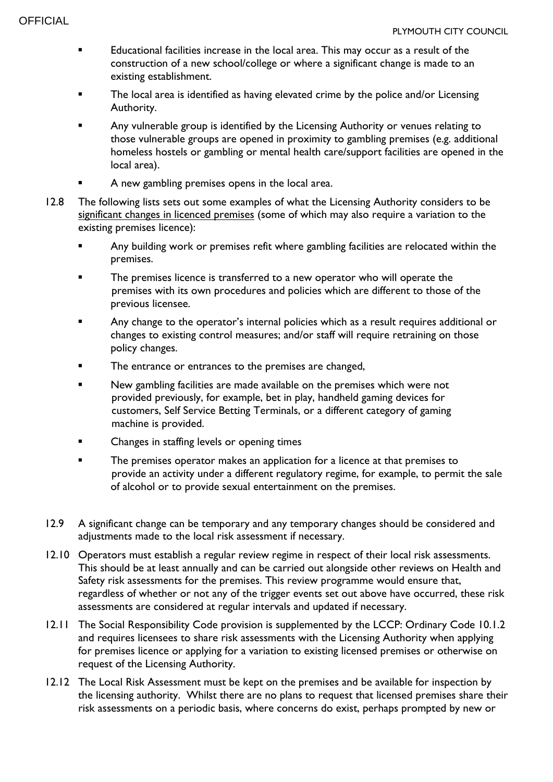- Educational facilities increase in the local area. This may occur as a result of the construction of a new school/college or where a significant change is made to an existing establishment.
- The local area is identified as having elevated crime by the police and/or Licensing Authority.
- Any vulnerable group is identified by the Licensing Authority or venues relating to those vulnerable groups are opened in proximity to gambling premises (e.g. additional homeless hostels or gambling or mental health care/support facilities are opened in the local area).
- A new gambling premises opens in the local area.
- 12.8 The following lists sets out some examples of what the Licensing Authority considers to be significant changes in licenced premises (some of which may also require a variation to the existing premises licence):
	- Any building work or premises refit where gambling facilities are relocated within the premises.
	- The premises licence is transferred to a new operator who will operate the premises with its own procedures and policies which are different to those of the previous licensee.
	- Any change to the operator's internal policies which as a result requires additional or changes to existing control measures; and/or staff will require retraining on those policy changes.
	- The entrance or entrances to the premises are changed,
	- New gambling facilities are made available on the premises which were not provided previously, for example, bet in play, handheld gaming devices for customers, Self Service Betting Terminals, or a different category of gaming machine is provided.
	- Changes in staffing levels or opening times
	- **The premises operator makes an application for a licence at that premises to** provide an activity under a different regulatory regime, for example, to permit the sale of alcohol or to provide sexual entertainment on the premises.
- 12.9 A significant change can be temporary and any temporary changes should be considered and adjustments made to the local risk assessment if necessary.
- 12.10 Operators must establish a regular review regime in respect of their local risk assessments. This should be at least annually and can be carried out alongside other reviews on Health and Safety risk assessments for the premises. This review programme would ensure that, regardless of whether or not any of the trigger events set out above have occurred, these risk assessments are considered at regular intervals and updated if necessary.
- 12.11 The Social Responsibility Code provision is supplemented by the LCCP: Ordinary Code 10.1.2 and requires licensees to share risk assessments with the Licensing Authority when applying for premises licence or applying for a variation to existing licensed premises or otherwise on request of the Licensing Authority.
- 12.12 The Local Risk Assessment must be kept on the premises and be available for inspection by the licensing authority. Whilst there are no plans to request that licensed premises share their risk assessments on a periodic basis, where concerns do exist, perhaps prompted by new or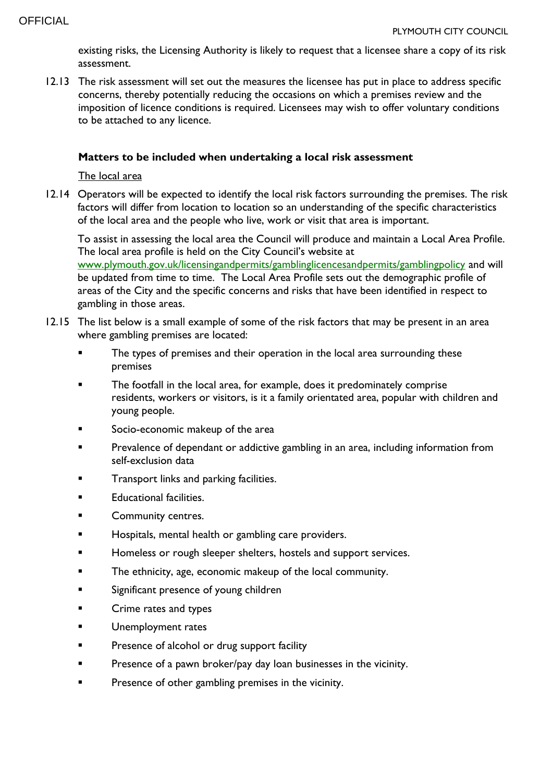existing risks, the Licensing Authority is likely to request that a licensee share a copy of its risk assessment.

12.13 The risk assessment will set out the measures the licensee has put in place to address specific concerns, thereby potentially reducing the occasions on which a premises review and the imposition of licence conditions is required. Licensees may wish to offer voluntary conditions to be attached to any licence.

#### **Matters to be included when undertaking a local risk assessment**

The local area

12.14 Operators will be expected to identify the local risk factors surrounding the premises. The risk factors will differ from location to location so an understanding of the specific characteristics of the local area and the people who live, work or visit that area is important.

To assist in assessing the local area the Council will produce and maintain a Local Area Profile. The local area profile is held on the City Council's website at [www.plymouth.gov.uk/licensingandpermits/gamblinglicencesandpermits/gamblingpolicy](http://www.plymouth.gov.uk/licensingandpermits/gamblinglicencesandpermits/gamblingpolicy) and will be updated from time to time. The Local Area Profile sets out the demographic profile of areas of the City and the specific concerns and risks that have been identified in respect to gambling in those areas.

- 12.15 The list below is a small example of some of the risk factors that may be present in an area where gambling premises are located:
	- **The types of premises and their operation in the local area surrounding these** premises
	- The footfall in the local area, for example, does it predominately comprise residents, workers or visitors, is it a family orientated area, popular with children and young people.
	- Socio-economic makeup of the area
	- Prevalence of dependant or addictive gambling in an area, including information from self-exclusion data
	- Transport links and parking facilities.
	- Educational facilities.
	- Community centres.
	- Hospitals, mental health or gambling care providers.
	- Homeless or rough sleeper shelters, hostels and support services.
	- The ethnicity, age, economic makeup of the local community.
	- Significant presence of young children
	- **Example 2** Crime rates and types
	- Unemployment rates
	- **Presence of alcohol or drug support facility**
	- **Presence of a pawn broker/pay day loan businesses in the vicinity.**
	- Presence of other gambling premises in the vicinity.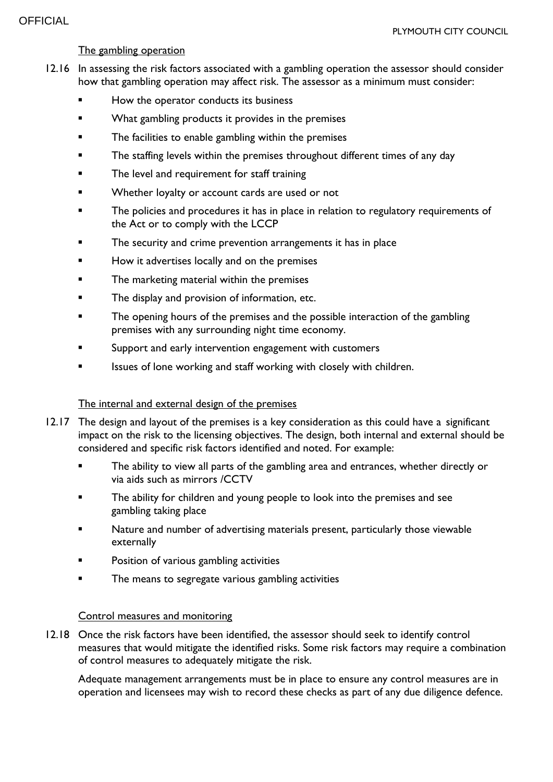#### The gambling operation

- 12.16 In assessing the risk factors associated with a gambling operation the assessor should consider how that gambling operation may affect risk. The assessor as a minimum must consider:
	- How the operator conducts its business
	- What gambling products it provides in the premises
	- The facilities to enable gambling within the premises
	- The staffing levels within the premises throughout different times of any day
	- The level and requirement for staff training
	- Whether loyalty or account cards are used or not
	- The policies and procedures it has in place in relation to regulatory requirements of the Act or to comply with the LCCP
	- The security and crime prevention arrangements it has in place
	- How it advertises locally and on the premises
	- The marketing material within the premises
	- The display and provision of information, etc.
	- The opening hours of the premises and the possible interaction of the gambling premises with any surrounding night time economy.
	- Support and early intervention engagement with customers
	- Issues of lone working and staff working with closely with children.

#### The internal and external design of the premises

- 12.17 The design and layout of the premises is a key consideration as this could have a significant impact on the risk to the licensing objectives. The design, both internal and external should be considered and specific risk factors identified and noted. For example:
	- The ability to view all parts of the gambling area and entrances, whether directly or via aids such as mirrors /CCTV
	- The ability for children and young people to look into the premises and see gambling taking place
	- Nature and number of advertising materials present, particularly those viewable externally
	- Position of various gambling activities
	- The means to segregate various gambling activities

#### Control measures and monitoring

12.18 Once the risk factors have been identified, the assessor should seek to identify control measures that would mitigate the identified risks. Some risk factors may require a combination of control measures to adequately mitigate the risk.

Adequate management arrangements must be in place to ensure any control measures are in operation and licensees may wish to record these checks as part of any due diligence defence.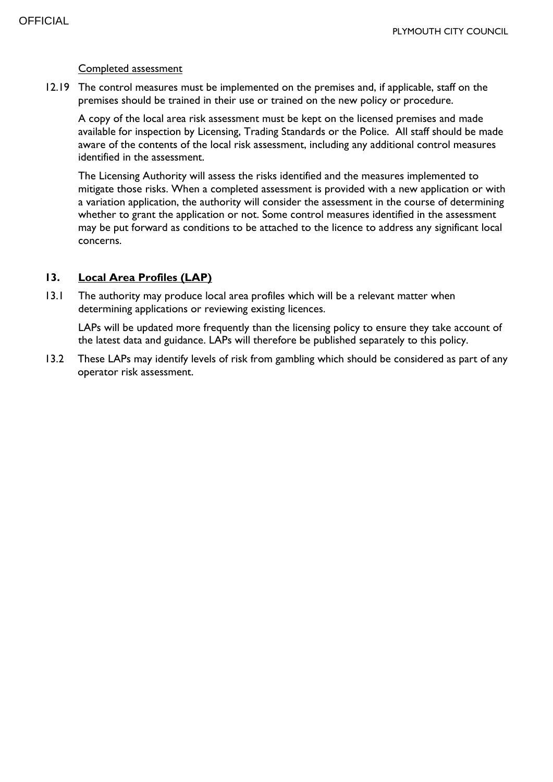#### Completed assessment

12.19 The control measures must be implemented on the premises and, if applicable, staff on the premises should be trained in their use or trained on the new policy or procedure.

A copy of the local area risk assessment must be kept on the licensed premises and made available for inspection by Licensing, Trading Standards or the Police. All staff should be made aware of the contents of the local risk assessment, including any additional control measures identified in the assessment.

The Licensing Authority will assess the risks identified and the measures implemented to mitigate those risks. When a completed assessment is provided with a new application or with a variation application, the authority will consider the assessment in the course of determining whether to grant the application or not. Some control measures identified in the assessment may be put forward as conditions to be attached to the licence to address any significant local concerns.

#### **13. Local Area Profiles (LAP)**

13.1 The authority may produce local area profiles which will be a relevant matter when determining applications or reviewing existing licences.

LAPs will be updated more frequently than the licensing policy to ensure they take account of the latest data and guidance. LAPs will therefore be published separately to this policy.

13.2 These LAPs may identify levels of risk from gambling which should be considered as part of any operator risk assessment.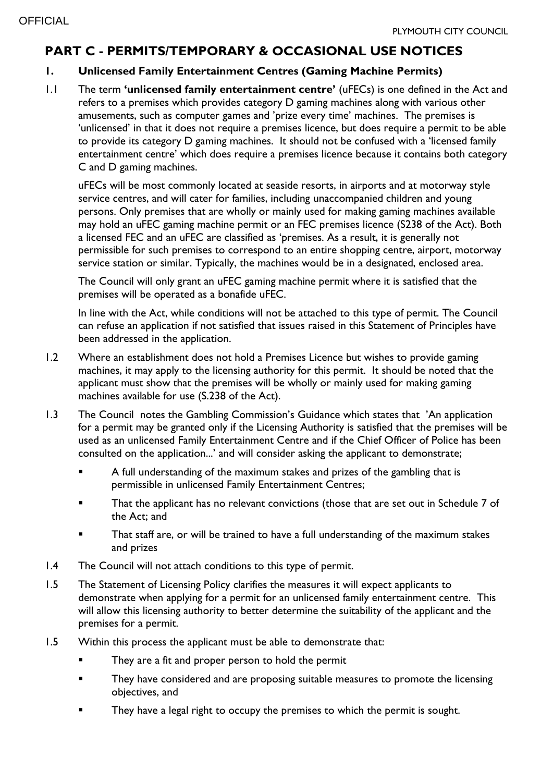# **PART C - PERMITS/TEMPORARY & OCCASIONAL USE NOTICES**

## **1. Unlicensed Family Entertainment Centres (Gaming Machine Permits)**

1.1 The term **'unlicensed family entertainment centre'** (uFECs) is one defined in the Act and refers to a premises which provides category D gaming machines along with various other amusements, such as computer games and 'prize every time' machines. The premises is 'unlicensed' in that it does not require a premises licence, but does require a permit to be able to provide its category D gaming machines. It should not be confused with a 'licensed family entertainment centre' which does require a premises licence because it contains both category C and D gaming machines.

uFECs will be most commonly located at seaside resorts, in airports and at motorway style service centres, and will cater for families, including unaccompanied children and young persons. Only premises that are wholly or mainly used for making gaming machines available may hold an uFEC gaming machine permit or an FEC premises licence (S238 of the Act). Both a licensed FEC and an uFEC are classified as 'premises. As a result, it is generally not permissible for such premises to correspond to an entire shopping centre, airport, motorway service station or similar. Typically, the machines would be in a designated, enclosed area.

The Council will only grant an uFEC gaming machine permit where it is satisfied that the premises will be operated as a bonafide uFEC.

In line with the Act, while conditions will not be attached to this type of permit. The Council can refuse an application if not satisfied that issues raised in this Statement of Principles have been addressed in the application.

- 1.2 Where an establishment does not hold a Premises Licence but wishes to provide gaming machines, it may apply to the licensing authority for this permit. It should be noted that the applicant must show that the premises will be wholly or mainly used for making gaming machines available for use (S.238 of the Act).
- 1.3 The Council notes the Gambling Commission's Guidance which states that 'An application for a permit may be granted only if the Licensing Authority is satisfied that the premises will be used as an unlicensed Family Entertainment Centre and if the Chief Officer of Police has been consulted on the application...' and will consider asking the applicant to demonstrate;
	- A full understanding of the maximum stakes and prizes of the gambling that is permissible in unlicensed Family Entertainment Centres;
	- **That the applicant has no relevant convictions (those that are set out in Schedule 7 of** the Act; and
	- That staff are, or will be trained to have a full understanding of the maximum stakes and prizes
- 1.4 The Council will not attach conditions to this type of permit.
- 1.5 The Statement of Licensing Policy clarifies the measures it will expect applicants to demonstrate when applying for a permit for an unlicensed family entertainment centre. This will allow this licensing authority to better determine the suitability of the applicant and the premises for a permit.
- 1.5 Within this process the applicant must be able to demonstrate that:
	- They are a fit and proper person to hold the permit
	- **They have considered and are proposing suitable measures to promote the licensing** objectives, and
	- They have a legal right to occupy the premises to which the permit is sought.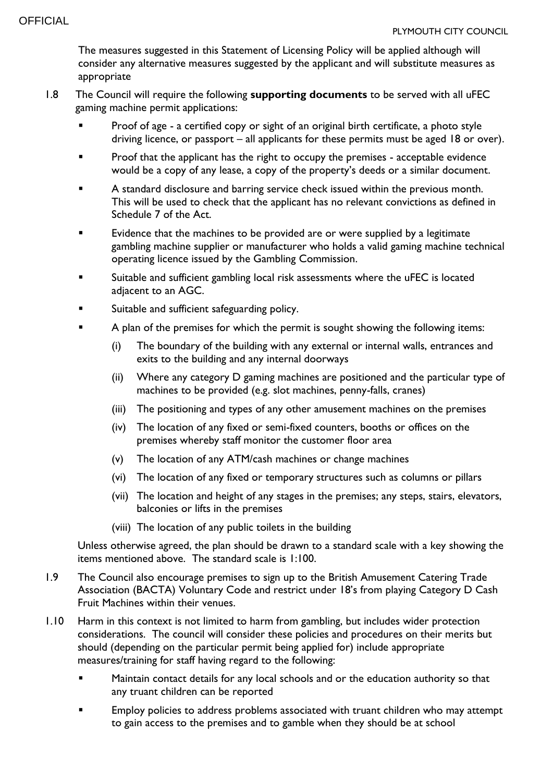The measures suggested in this Statement of Licensing Policy will be applied although will consider any alternative measures suggested by the applicant and will substitute measures as appropriate

- 1.8 The Council will require the following **supporting documents** to be served with all uFEC gaming machine permit applications:
	- Proof of age a certified copy or sight of an original birth certificate, a photo style driving licence, or passport – all applicants for these permits must be aged 18 or over).
	- Proof that the applicant has the right to occupy the premises acceptable evidence would be a copy of any lease, a copy of the property's deeds or a similar document.
	- A standard disclosure and barring service check issued within the previous month. This will be used to check that the applicant has no relevant convictions as defined in Schedule 7 of the Act.
	- **Evidence that the machines to be provided are or were supplied by a legitimate** gambling machine supplier or manufacturer who holds a valid gaming machine technical operating licence issued by the Gambling Commission.
	- Suitable and sufficient gambling local risk assessments where the uFEC is located adjacent to an AGC.
	- Suitable and sufficient safeguarding policy.
	- A plan of the premises for which the permit is sought showing the following items:
		- (i) The boundary of the building with any external or internal walls, entrances and exits to the building and any internal doorways
		- (ii) Where any category D gaming machines are positioned and the particular type of machines to be provided (e.g. slot machines, penny-falls, cranes)
		- (iii) The positioning and types of any other amusement machines on the premises
		- (iv) The location of any fixed or semi-fixed counters, booths or offices on the premises whereby staff monitor the customer floor area
		- (v) The location of any ATM/cash machines or change machines
		- (vi) The location of any fixed or temporary structures such as columns or pillars
		- (vii) The location and height of any stages in the premises; any steps, stairs, elevators, balconies or lifts in the premises
		- (viii) The location of any public toilets in the building

Unless otherwise agreed, the plan should be drawn to a standard scale with a key showing the items mentioned above. The standard scale is 1:100.

- 1.9 The Council also encourage premises to sign up to the British Amusement Catering Trade Association (BACTA) Voluntary Code and restrict under 18's from playing Category D Cash Fruit Machines within their venues.
- 1.10 Harm in this context is not limited to harm from gambling, but includes wider protection considerations. The council will consider these policies and procedures on their merits but should (depending on the particular permit being applied for) include appropriate measures/training for staff having regard to the following:
	- Maintain contact details for any local schools and or the education authority so that any truant children can be reported
	- Employ policies to address problems associated with truant children who may attempt to gain access to the premises and to gamble when they should be at school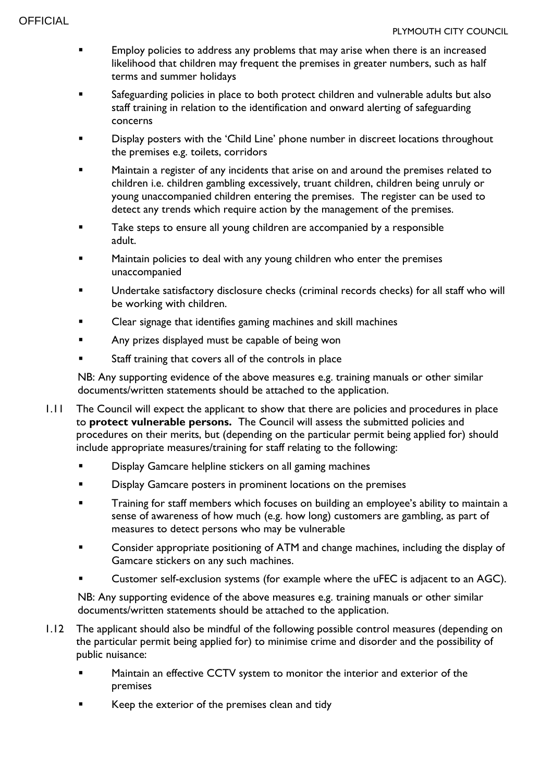- **Employ policies to address any problems that may arise when there is an increased** likelihood that children may frequent the premises in greater numbers, such as half terms and summer holidays
- Safeguarding policies in place to both protect children and vulnerable adults but also staff training in relation to the identification and onward alerting of safeguarding concerns
- Display posters with the 'Child Line' phone number in discreet locations throughout the premises e.g. toilets, corridors
- Maintain a register of any incidents that arise on and around the premises related to children i.e. children gambling excessively, truant children, children being unruly or young unaccompanied children entering the premises. The register can be used to detect any trends which require action by the management of the premises.
- **Take steps to ensure all young children are accompanied by a responsible** adult.
- Maintain policies to deal with any young children who enter the premises unaccompanied
- Undertake satisfactory disclosure checks (criminal records checks) for all staff who will be working with children.
- Clear signage that identifies gaming machines and skill machines
- Any prizes displayed must be capable of being won
- Staff training that covers all of the controls in place

NB: Any supporting evidence of the above measures e.g. training manuals or other similar documents/written statements should be attached to the application.

- 1.11 The Council will expect the applicant to show that there are policies and procedures in place to **protect vulnerable persons.** The Council will assess the submitted policies and procedures on their merits, but (depending on the particular permit being applied for) should include appropriate measures/training for staff relating to the following:
	- Display Gamcare helpline stickers on all gaming machines
	- Display Gamcare posters in prominent locations on the premises
	- Training for staff members which focuses on building an employee's ability to maintain a sense of awareness of how much (e.g. how long) customers are gambling, as part of measures to detect persons who may be vulnerable
	- Consider appropriate positioning of ATM and change machines, including the display of Gamcare stickers on any such machines.
	- Customer self-exclusion systems (for example where the uFEC is adjacent to an AGC).

NB: Any supporting evidence of the above measures e.g. training manuals or other similar documents/written statements should be attached to the application.

- 1.12 The applicant should also be mindful of the following possible control measures (depending on the particular permit being applied for) to minimise crime and disorder and the possibility of public nuisance:
	- Maintain an effective CCTV system to monitor the interior and exterior of the premises
	- Keep the exterior of the premises clean and tidy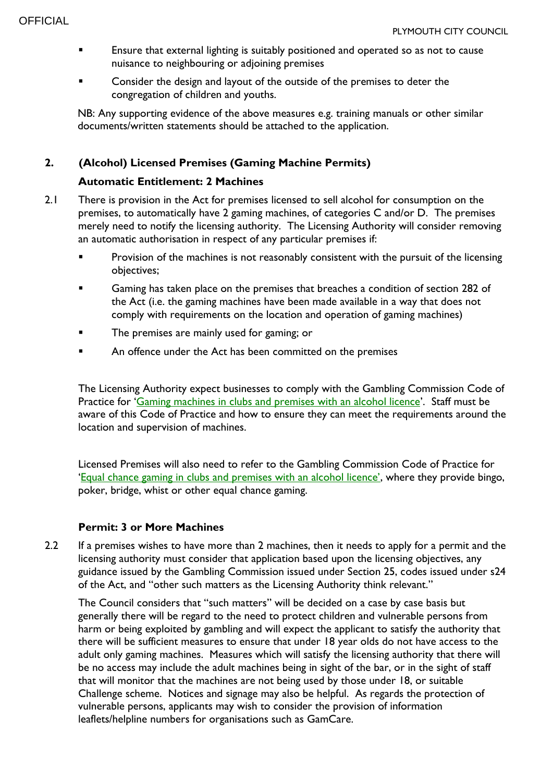- **Ensure that external lighting is suitably positioned and operated so as not to cause** nuisance to neighbouring or adjoining premises
- **EXECONS** Consider the design and layout of the outside of the premises to deter the congregation of children and youths.

NB: Any supporting evidence of the above measures e.g. training manuals or other similar documents/written statements should be attached to the application.

## **2. (Alcohol) Licensed Premises (Gaming Machine Permits)**

## **Automatic Entitlement: 2 Machines**

- 2.1 There is provision in the Act for premises licensed to sell alcohol for consumption on the premises, to automatically have 2 gaming machines, of categories C and/or D. The premises merely need to notify the licensing authority. The Licensing Authority will consider removing an automatic authorisation in respect of any particular premises if:
	- **Provision of the machines is not reasonably consistent with the pursuit of the licensing** objectives;
	- **Gaming has taken place on the premises that breaches a condition of section 282 of** the Act (i.e. the gaming machines have been made available in a way that does not comply with requirements on the location and operation of gaming machines)
	- The premises are mainly used for gaming; or
	- **EXECUTE:** An offence under the Act has been committed on the premises

The Licensing Authority expect businesses to comply with the Gambling Commission Code of Practice for '[Gaming machines in clubs and premises with an alcohol licence](file://///plymcc.local/directorates/Development/Environmental%20Regulation/Licensing/GAMBLING%20ACT%202005/Policy/Draft%20new%20Policy%202022/•https:/beta.gamblingcommission.gov.uk/authorities/codes-of-practice/guide/page/section-c-gaming-machines-in-clubs-and-premises-with-an-alcohol-licence)'. Staff must be aware of this Code of Practice and how to ensure they can meet the requirements around the location and supervision of machines.

Licensed Premises will also need to refer to the Gambling Commission Code of Practice for ['Equal chance gaming in clubs and premises with an alcohol licence'](https://beta.gamblingcommission.gov.uk/authorities/codes-of-practice/guide/page/section-b-equal-chance-gaming-in-clubs-and-premises-with-an-alcohol-licence), where they provide bingo, poker, bridge, whist or other equal chance gaming.

#### **Permit: 3 or More Machines**

2.2 If a premises wishes to have more than 2 machines, then it needs to apply for a permit and the licensing authority must consider that application based upon the licensing objectives, any guidance issued by the Gambling Commission issued under Section 25, codes issued under s24 of the Act, and "other such matters as the Licensing Authority think relevant."

The Council considers that "such matters" will be decided on a case by case basis but generally there will be regard to the need to protect children and vulnerable persons from harm or being exploited by gambling and will expect the applicant to satisfy the authority that there will be sufficient measures to ensure that under 18 year olds do not have access to the adult only gaming machines. Measures which will satisfy the licensing authority that there will be no access may include the adult machines being in sight of the bar, or in the sight of staff that will monitor that the machines are not being used by those under 18, or suitable Challenge scheme. Notices and signage may also be helpful. As regards the protection of vulnerable persons, applicants may wish to consider the provision of information leaflets/helpline numbers for organisations such as GamCare.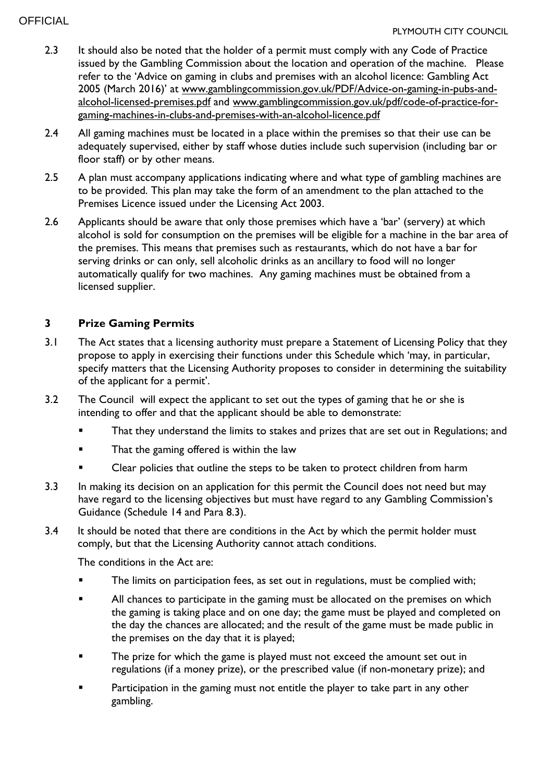- 2.3 It should also be noted that the holder of a permit must comply with any Code of Practice issued by the Gambling Commission about the location and operation of the machine. Please refer to the 'Advice on gaming in clubs and premises with an alcohol licence: Gambling Act 2005 (March 2016)' at [www.gamblingcommission.gov.uk/PDF/Advice-on-gaming-in-pubs-and](http://www.gamblingcommission.gov.uk/PDF/Advice-on-gaming-in-pubs-and-alcohol-licensed-premises.pdf)[alcohol-licensed-premises.pdf](http://www.gamblingcommission.gov.uk/PDF/Advice-on-gaming-in-pubs-and-alcohol-licensed-premises.pdf) and [www.gamblingcommission.gov.uk/pdf/code-of-practice-for](http://www.gamblingcommission.gov.uk/pdf/code-of-practice-for-gaming-machines-in-clubs-and-premises-with-an-alcohol-licence.pdf)[gaming-machines-in-clubs-and-premises-with-an-alcohol-licence.pdf](http://www.gamblingcommission.gov.uk/pdf/code-of-practice-for-gaming-machines-in-clubs-and-premises-with-an-alcohol-licence.pdf)
- 2.4 All gaming machines must be located in a place within the premises so that their use can be adequately supervised, either by staff whose duties include such supervision (including bar or floor staff) or by other means.
- 2.5 A plan must accompany applications indicating where and what type of gambling machines are to be provided. This plan may take the form of an amendment to the plan attached to the Premises Licence issued under the Licensing Act 2003.
- 2.6 Applicants should be aware that only those premises which have a 'bar' (servery) at which alcohol is sold for consumption on the premises will be eligible for a machine in the bar area of the premises. This means that premises such as restaurants, which do not have a bar for serving drinks or can only, sell alcoholic drinks as an ancillary to food will no longer automatically qualify for two machines. Any gaming machines must be obtained from a licensed supplier.

## **3 Prize Gaming Permits**

- 3.1 The Act states that a licensing authority must prepare a Statement of Licensing Policy that they propose to apply in exercising their functions under this Schedule which 'may, in particular, specify matters that the Licensing Authority proposes to consider in determining the suitability of the applicant for a permit'.
- 3.2 The Council will expect the applicant to set out the types of gaming that he or she is intending to offer and that the applicant should be able to demonstrate:
	- That they understand the limits to stakes and prizes that are set out in Regulations; and
	- That the gaming offered is within the law
	- Clear policies that outline the steps to be taken to protect children from harm
- 3.3 In making its decision on an application for this permit the Council does not need but may have regard to the licensing objectives but must have regard to any Gambling Commission's Guidance (Schedule 14 and Para 8.3).
- 3.4 It should be noted that there are conditions in the Act by which the permit holder must comply, but that the Licensing Authority cannot attach conditions.

The conditions in the Act are:

- The limits on participation fees, as set out in regulations, must be complied with;
- **All chances to participate in the gaming must be allocated on the premises on which** the gaming is taking place and on one day; the game must be played and completed on the day the chances are allocated; and the result of the game must be made public in the premises on the day that it is played;
- **The prize for which the game is played must not exceed the amount set out in** regulations (if a money prize), or the prescribed value (if non-monetary prize); and
- **Participation in the gaming must not entitle the player to take part in any other** gambling.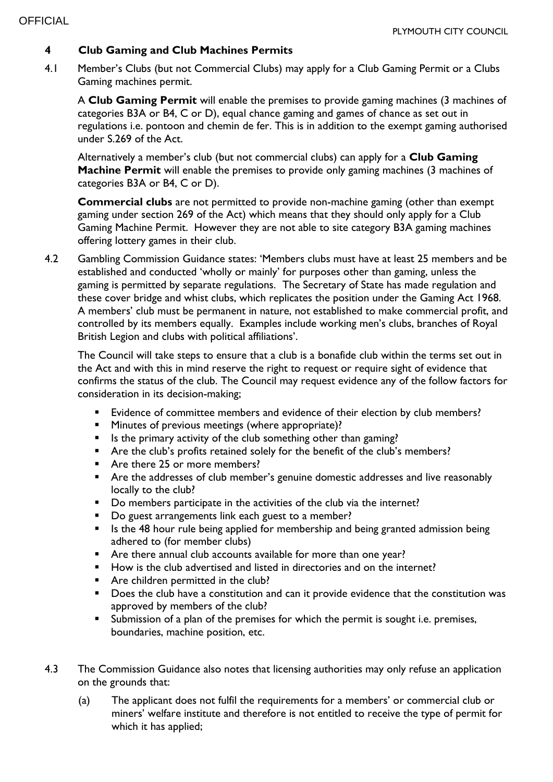## **4 Club Gaming and Club Machines Permits**

4.1 Member's Clubs (but not Commercial Clubs) may apply for a Club Gaming Permit or a Clubs Gaming machines permit.

A **Club Gaming Permit** will enable the premises to provide gaming machines (3 machines of categories B3A or B4, C or D), equal chance gaming and games of chance as set out in regulations i.e. pontoon and chemin de fer. This is in addition to the exempt gaming authorised under S.269 of the Act.

Alternatively a member's club (but not commercial clubs) can apply for a **Club Gaming Machine Permit** will enable the premises to provide only gaming machines (3 machines of categories B3A or B4, C or D).

**Commercial clubs** are not permitted to provide non-machine gaming (other than exempt gaming under section 269 of the Act) which means that they should only apply for a Club Gaming Machine Permit. However they are not able to site category B3A gaming machines offering lottery games in their club.

4.2 Gambling Commission Guidance states: 'Members clubs must have at least 25 members and be established and conducted 'wholly or mainly' for purposes other than gaming, unless the gaming is permitted by separate regulations. The Secretary of State has made regulation and these cover bridge and whist clubs, which replicates the position under the Gaming Act 1968. A members' club must be permanent in nature, not established to make commercial profit, and controlled by its members equally. Examples include working men's clubs, branches of Royal British Legion and clubs with political affiliations'.

The Council will take steps to ensure that a club is a bonafide club within the terms set out in the Act and with this in mind reserve the right to request or require sight of evidence that confirms the status of the club. The Council may request evidence any of the follow factors for consideration in its decision-making;

- **Evidence of committee members and evidence of their election by club members?**
- **Minutes of previous meetings (where appropriate)?**
- Is the primary activity of the club something other than gaming?
- Are the club's profits retained solely for the benefit of the club's members?
- Are there 25 or more members?
- **Are the addresses of club member's genuine domestic addresses and live reasonably** locally to the club?
- Do members participate in the activities of the club via the internet?
- Do guest arrangements link each guest to a member?
- If Is the 48 hour rule being applied for membership and being granted admission being adhered to (for member clubs)
- Are there annual club accounts available for more than one year?
- How is the club advertised and listed in directories and on the internet?
- **Are children permitted in the club?**
- Does the club have a constitution and can it provide evidence that the constitution was approved by members of the club?
- Submission of a plan of the premises for which the permit is sought i.e. premises, boundaries, machine position, etc.
- 4.3 The Commission Guidance also notes that licensing authorities may only refuse an application on the grounds that:
	- (a) The applicant does not fulfil the requirements for a members' or commercial club or miners' welfare institute and therefore is not entitled to receive the type of permit for which it has applied;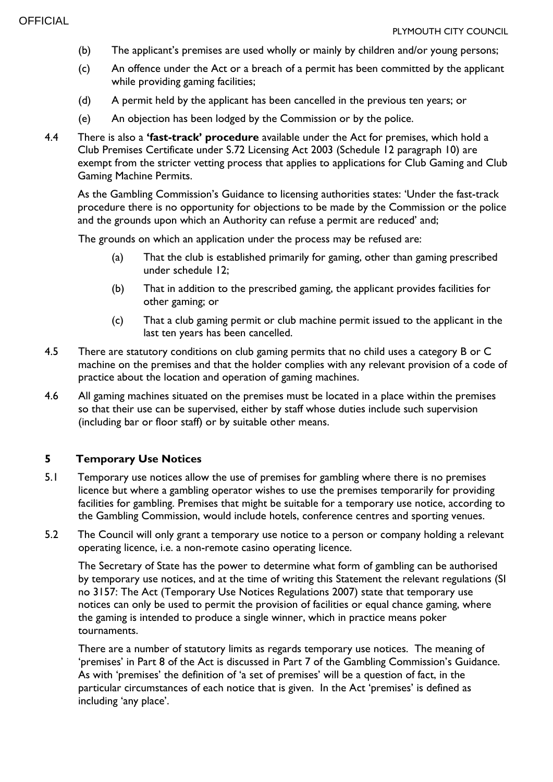- (b) The applicant's premises are used wholly or mainly by children and/or young persons;
- (c) An offence under the Act or a breach of a permit has been committed by the applicant while providing gaming facilities;
- (d) A permit held by the applicant has been cancelled in the previous ten years; or
- (e) An objection has been lodged by the Commission or by the police.
- 4.4 There is also a **'fast-track' procedure** available under the Act for premises, which hold a Club Premises Certificate under S.72 Licensing Act 2003 (Schedule 12 paragraph 10) are exempt from the stricter vetting process that applies to applications for Club Gaming and Club Gaming Machine Permits.

As the Gambling Commission's Guidance to licensing authorities states: 'Under the fast-track procedure there is no opportunity for objections to be made by the Commission or the police and the grounds upon which an Authority can refuse a permit are reduced' and;

The grounds on which an application under the process may be refused are:

- (a) That the club is established primarily for gaming, other than gaming prescribed under schedule 12;
- (b) That in addition to the prescribed gaming, the applicant provides facilities for other gaming; or
- (c) That a club gaming permit or club machine permit issued to the applicant in the last ten years has been cancelled.
- 4.5 There are statutory conditions on club gaming permits that no child uses a category B or C machine on the premises and that the holder complies with any relevant provision of a code of practice about the location and operation of gaming machines.
- 4.6 All gaming machines situated on the premises must be located in a place within the premises so that their use can be supervised, either by staff whose duties include such supervision (including bar or floor staff) or by suitable other means.

## **5 Temporary Use Notices**

- 5.1 Temporary use notices allow the use of premises for gambling where there is no premises licence but where a gambling operator wishes to use the premises temporarily for providing facilities for gambling. Premises that might be suitable for a temporary use notice, according to the Gambling Commission, would include hotels, conference centres and sporting venues.
- 5.2 The Council will only grant a temporary use notice to a person or company holding a relevant operating licence, i.e. a non-remote casino operating licence.

The Secretary of State has the power to determine what form of gambling can be authorised by temporary use notices, and at the time of writing this Statement the relevant regulations (SI no 3157: The Act (Temporary Use Notices Regulations 2007) state that temporary use notices can only be used to permit the provision of facilities or equal chance gaming, where the gaming is intended to produce a single winner, which in practice means poker tournaments.

There are a number of statutory limits as regards temporary use notices. The meaning of 'premises' in Part 8 of the Act is discussed in Part 7 of the Gambling Commission's Guidance. As with 'premises' the definition of 'a set of premises' will be a question of fact, in the particular circumstances of each notice that is given. In the Act 'premises' is defined as including 'any place'.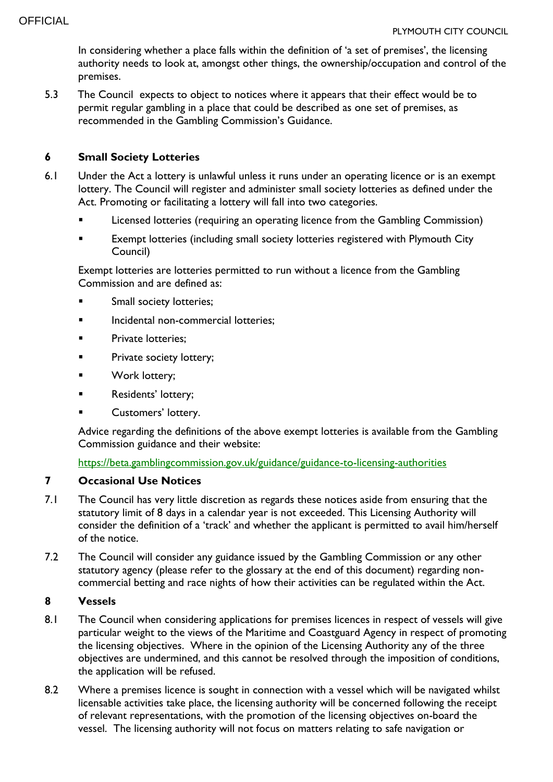In considering whether a place falls within the definition of 'a set of premises', the licensing authority needs to look at, amongst other things, the ownership/occupation and control of the premises.

5.3 The Council expects to object to notices where it appears that their effect would be to permit regular gambling in a place that could be described as one set of premises, as recommended in the Gambling Commission's Guidance.

## **6 Small Society Lotteries**

- 6.1 Under the Act a lottery is unlawful unless it runs under an operating licence or is an exempt lottery. The Council will register and administer small society lotteries as defined under the Act. Promoting or facilitating a lottery will fall into two categories.
	- Licensed lotteries (requiring an operating licence from the Gambling Commission)
	- Exempt lotteries (including small society lotteries registered with Plymouth City Council)

Exempt lotteries are lotteries permitted to run without a licence from the Gambling Commission and are defined as:

- Small society lotteries;
- **Incidental non-commercial lotteries;**
- **Private lotteries;**
- **Private society lottery;**
- Work lottery;
- **Residents' lottery;**
- Customers' lottery.

Advice regarding the definitions of the above exempt lotteries is available from the Gambling Commission guidance and their website:

<https://beta.gamblingcommission.gov.uk/guidance/guidance-to-licensing-authorities>

## **7 Occasional Use Notices**

- 7.1 The Council has very little discretion as regards these notices aside from ensuring that the statutory limit of 8 days in a calendar year is not exceeded. This Licensing Authority will consider the definition of a 'track' and whether the applicant is permitted to avail him/herself of the notice.
- 7.2 The Council will consider any guidance issued by the Gambling Commission or any other statutory agency (please refer to the glossary at the end of this document) regarding noncommercial betting and race nights of how their activities can be regulated within the Act.

#### **8 Vessels**

- 8.1 The Council when considering applications for premises licences in respect of vessels will give particular weight to the views of the Maritime and Coastguard Agency in respect of promoting the licensing objectives. Where in the opinion of the Licensing Authority any of the three objectives are undermined, and this cannot be resolved through the imposition of conditions, the application will be refused.
- 8.2 Where a premises licence is sought in connection with a vessel which will be navigated whilst licensable activities take place, the licensing authority will be concerned following the receipt of relevant representations, with the promotion of the licensing objectives on-board the vessel. The licensing authority will not focus on matters relating to safe navigation or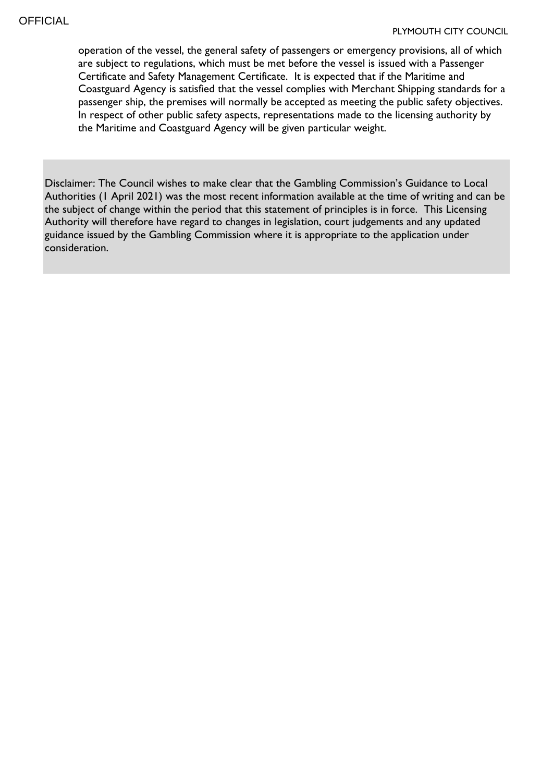operation of the vessel, the general safety of passengers or emergency provisions, all of which are subject to regulations, which must be met before the vessel is issued with a Passenger Certificate and Safety Management Certificate. It is expected that if the Maritime and Coastguard Agency is satisfied that the vessel complies with Merchant Shipping standards for a passenger ship, the premises will normally be accepted as meeting the public safety objectives. In respect of other public safety aspects, representations made to the licensing authority by the Maritime and Coastguard Agency will be given particular weight.

Disclaimer: The Council wishes to make clear that the Gambling Commission's Guidance to Local Authorities (1 April 2021) was the most recent information available at the time of writing and can be the subject of change within the period that this statement of principles is in force. This Licensing Authority will therefore have regard to changes in legislation, court judgements and any updated guidance issued by the Gambling Commission where it is appropriate to the application under consideration.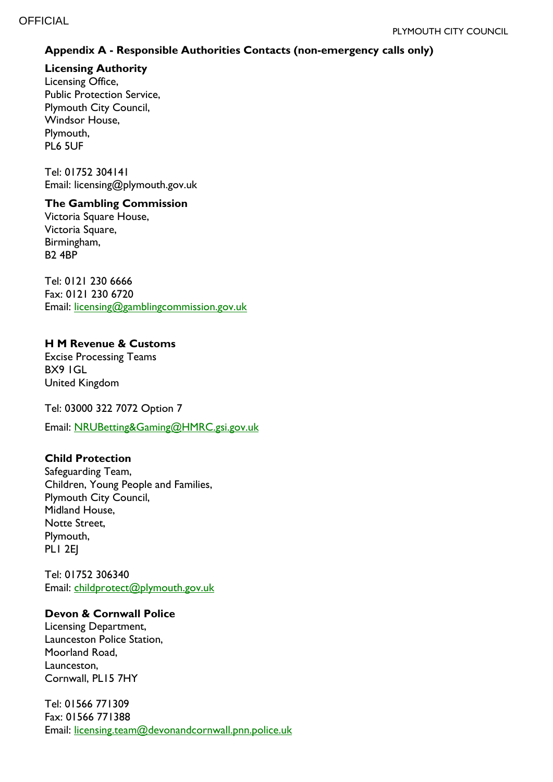## **Appendix A - Responsible Authorities Contacts (non-emergency calls only)**

**Licensing Authority** 

Licensing Office, Public Protection Service, Plymouth City Council, Windsor House, Plymouth, PL6 5UF

Tel: 01752 304141 Email: licensing@plymouth.gov.uk

#### **The Gambling Commission**

Victoria Square House, Victoria Square, Birmingham, B2 4BP

Tel: 0121 230 6666 Fax: 0121 230 6720 Email: [licensing@gamblingcommission.gov.uk](mailto:licensing@gamblingcommission.gov.uk)

## **H M Revenue & Customs**

Excise Processing Teams BX9 1GL United Kingdom

Tel: 03000 322 7072 Option 7

Email: [NRUBetting&Gaming@HMRC.gsi.gov.uk](mailto:NRUBetting&Gaming@HMRC.gsi.gov.uk)

#### **Child Protection**

Safeguarding Team, Children, Young People and Families, Plymouth City Council, Midland House, Notte Street, Plymouth, PL1 2EJ

Tel: 01752 306340 Email: [childprotect@plymouth.gov.uk](mailto:Childprotect@plymouth.gov.uk)

#### **Devon & Cornwall Police**

Licensing Department, Launceston Police Station, Moorland Road, Launceston, Cornwall, PL15 7HY

Tel: 01566 771309 Fax: 01566 771388 Email: [licensing.team@devonandcornwall.pnn.police.uk](mailto:licensing.team@devonandcornwall.pnn.police.uk)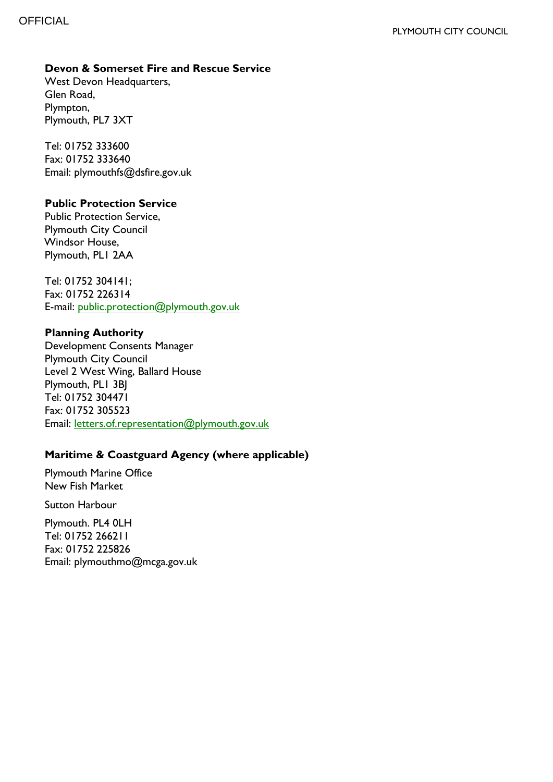## **Devon & Somerset Fire and Rescue Service**

West Devon Headquarters, Glen Road, Plympton, Plymouth, PL7 3XT

Tel: 01752 333600 Fax: 01752 333640 Email: plymouthfs@dsfire.gov.uk

#### **Public Protection Service**

Public Protection Service, Plymouth City Council Windsor House, Plymouth, PL1 2AA

Tel: 01752 304141; Fax: 01752 226314 E-mail: [public.protection@plymouth.gov.uk](mailto:public.protection@plymouth.gov.uk)

#### **Planning Authority**

Development Consents Manager Plymouth City Council Level 2 West Wing, Ballard House Plymouth, PL1 3BJ Tel: 01752 304471 Fax: 01752 305523 Email: [letters.of.representation@plymouth.gov.uk](mailto:letters.of.representation@plymouth.gov.uk)

## **Maritime & Coastguard Agency (where applicable)**

Plymouth Marine Office New Fish Market

Sutton Harbour

Plymouth. PL4 0LH Tel: 01752 266211 Fax: 01752 225826 Email: plymouthmo@mcga.gov.uk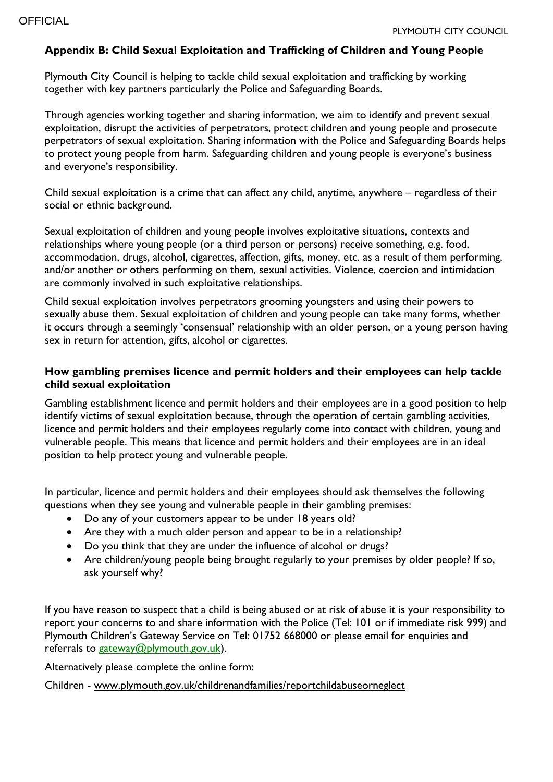#### **Appendix B: Child Sexual Exploitation and Trafficking of Children and Young People**

Plymouth City Council is helping to tackle child sexual exploitation and trafficking by working together with key partners particularly the Police and Safeguarding Boards.

Through agencies working together and sharing information, we aim to identify and prevent sexual exploitation, disrupt the activities of perpetrators, protect children and young people and prosecute perpetrators of sexual exploitation. Sharing information with the Police and Safeguarding Boards helps to protect young people from harm. Safeguarding children and young people is everyone's business and everyone's responsibility.

Child sexual exploitation is a crime that can affect any child, anytime, anywhere – regardless of their social or ethnic background.

Sexual exploitation of children and young people involves exploitative situations, contexts and relationships where young people (or a third person or persons) receive something, e.g. food, accommodation, drugs, alcohol, cigarettes, affection, gifts, money, etc. as a result of them performing, and/or another or others performing on them, sexual activities. Violence, coercion and intimidation are commonly involved in such exploitative relationships.

Child sexual exploitation involves perpetrators grooming youngsters and using their powers to sexually abuse them. Sexual exploitation of children and young people can take many forms, whether it occurs through a seemingly 'consensual' relationship with an older person, or a young person having sex in return for attention, gifts, alcohol or cigarettes.

#### **How gambling premises licence and permit holders and their employees can help tackle child sexual exploitation**

Gambling establishment licence and permit holders and their employees are in a good position to help identify victims of sexual exploitation because, through the operation of certain gambling activities, licence and permit holders and their employees regularly come into contact with children, young and vulnerable people. This means that licence and permit holders and their employees are in an ideal position to help protect young and vulnerable people.

In particular, licence and permit holders and their employees should ask themselves the following questions when they see young and vulnerable people in their gambling premises:

- Do any of your customers appear to be under 18 years old?
- Are they with a much older person and appear to be in a relationship?
- Do you think that they are under the influence of alcohol or drugs?
- Are children/young people being brought regularly to your premises by older people? If so, ask yourself why?

If you have reason to suspect that a child is being abused or at risk of abuse it is your responsibility to report your concerns to and share information with the Police (Tel: 101 or if immediate risk 999) and Plymouth Children's Gateway Service on Tel: 01752 668000 or please email for enquiries and referrals to [gateway@plymouth.gov.uk\)](mailto:gateway@plymouth.gov.uk).

Alternatively please complete the online form:

Children - [www.plymouth.gov.uk/childrenandfamilies/reportchildabuseorneglect](http://www.plymouth.gov.uk/childrenandfamilies/reportchildabuseorneglect)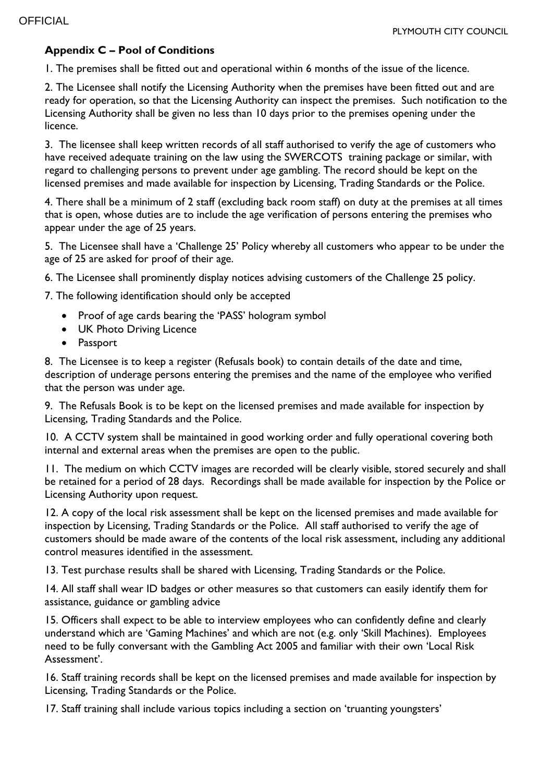## **Appendix C – Pool of Conditions**

1. The premises shall be fitted out and operational within 6 months of the issue of the licence.

2. The Licensee shall notify the Licensing Authority when the premises have been fitted out and are ready for operation, so that the Licensing Authority can inspect the premises. Such notification to the Licensing Authority shall be given no less than 10 days prior to the premises opening under the licence.

3. The licensee shall keep written records of all staff authorised to verify the age of customers who have received adequate training on the law using the SWERCOTS training package or similar, with regard to challenging persons to prevent under age gambling. The record should be kept on the licensed premises and made available for inspection by Licensing, Trading Standards or the Police.

4. There shall be a minimum of 2 staff (excluding back room staff) on duty at the premises at all times that is open, whose duties are to include the age verification of persons entering the premises who appear under the age of 25 years.

5. The Licensee shall have a 'Challenge 25' Policy whereby all customers who appear to be under the age of 25 are asked for proof of their age.

6. The Licensee shall prominently display notices advising customers of the Challenge 25 policy.

7. The following identification should only be accepted

- Proof of age cards bearing the 'PASS' hologram symbol
- UK Photo Driving Licence
- Passport

8. The Licensee is to keep a register (Refusals book) to contain details of the date and time, description of underage persons entering the premises and the name of the employee who verified that the person was under age.

9. The Refusals Book is to be kept on the licensed premises and made available for inspection by Licensing, Trading Standards and the Police.

10. A CCTV system shall be maintained in good working order and fully operational covering both internal and external areas when the premises are open to the public.

11. The medium on which CCTV images are recorded will be clearly visible, stored securely and shall be retained for a period of 28 days. Recordings shall be made available for inspection by the Police or Licensing Authority upon request.

12. A copy of the local risk assessment shall be kept on the licensed premises and made available for inspection by Licensing, Trading Standards or the Police. All staff authorised to verify the age of customers should be made aware of the contents of the local risk assessment, including any additional control measures identified in the assessment.

13. Test purchase results shall be shared with Licensing, Trading Standards or the Police.

14. All staff shall wear ID badges or other measures so that customers can easily identify them for assistance, guidance or gambling advice

15. Officers shall expect to be able to interview employees who can confidently define and clearly understand which are 'Gaming Machines' and which are not (e.g. only 'Skill Machines). Employees need to be fully conversant with the Gambling Act 2005 and familiar with their own 'Local Risk Assessment'.

16. Staff training records shall be kept on the licensed premises and made available for inspection by Licensing, Trading Standards or the Police.

17. Staff training shall include various topics including a section on 'truanting youngsters'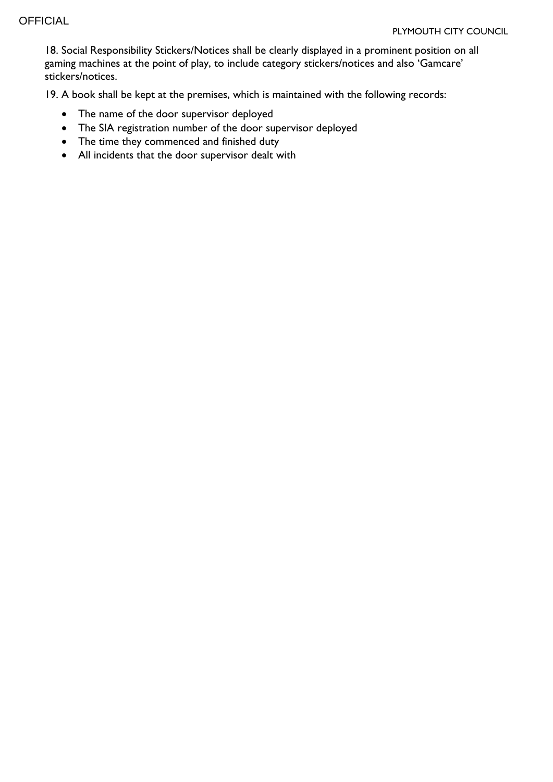18. Social Responsibility Stickers/Notices shall be clearly displayed in a prominent position on all gaming machines at the point of play, to include category stickers/notices and also 'Gamcare' stickers/notices.

19. A book shall be kept at the premises, which is maintained with the following records:

- The name of the door supervisor deployed
- The SIA registration number of the door supervisor deployed
- The time they commenced and finished duty
- All incidents that the door supervisor dealt with